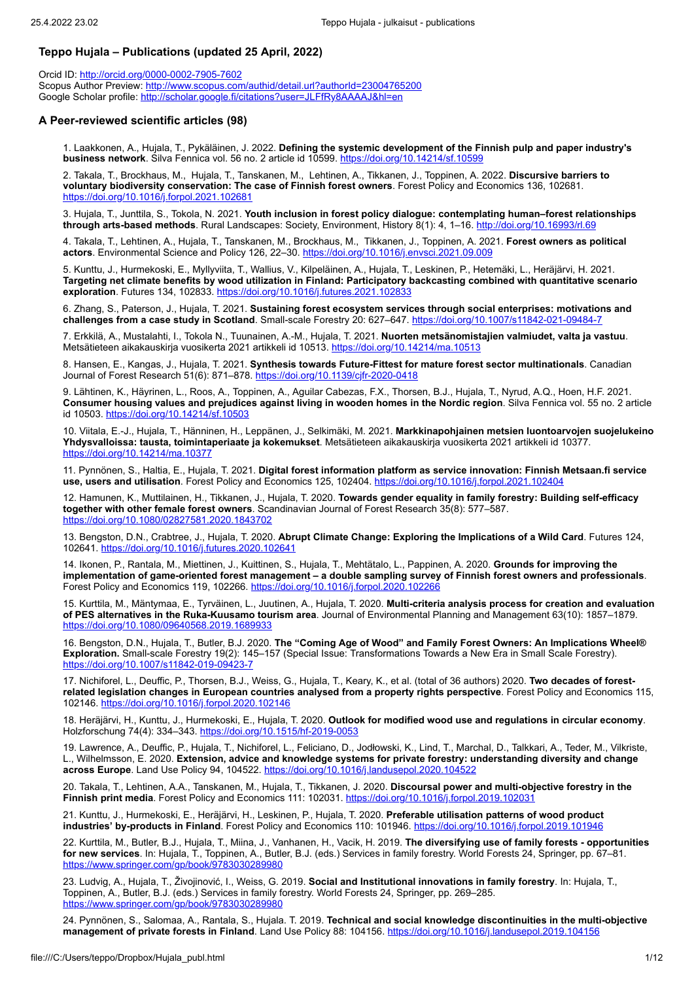# **Teppo Hujala – Publications (updated 25 April, 2022)**

Orcid ID: <http://orcid.org/0000-0002-7905-7602> Scopus Author Preview:<http://www.scopus.com/authid/detail.url?authorId=23004765200> Google Scholar profile: <http://scholar.google.fi/citations?user=JLFfRy8AAAAJ&hl=en>

### **A Peer-reviewed scientific articles (98)**

1. Laakkonen, A., Hujala, T., Pykäläinen, J. 2022. **Defining the systemic development of the Finnish pulp and paper industry's business network**. Silva Fennica vol. 56 no. 2 article id 10599. <https://doi.org/10.14214/sf.10599>

2. Takala, T., Brockhaus, M., Hujala, T., Tanskanen, M., Lehtinen, A., Tikkanen, J., Toppinen, A. 2022. **Discursive barriers to voluntary biodiversity conservation: The case of Finnish forest owners**. Forest Policy and Economics 136, 102681. <https://doi.org/10.1016/j.forpol.2021.102681>

3. Hujala, T., Junttila, S., Tokola, N. 2021. **Youth inclusion in forest policy dialogue: contemplating human–forest relationships through arts-based methods**. Rural Landscapes: Society, Environment, History 8(1): 4, 1–16.<http://doi.org/10.16993/rl.69>

4. Takala, T., Lehtinen, A., Hujala, T., Tanskanen, M., Brockhaus, M., Tikkanen, J., Toppinen, A. 2021. **Forest owners as political actors**. Environmental Science and Policy 126, 22–30.<https://doi.org/10.1016/j.envsci.2021.09.009>

5. Kunttu, J., Hurmekoski, E., Myllyviita, T., Wallius, V., Kilpeläinen, A., Hujala, T., Leskinen, P., Hetemäki, L., Heräjärvi, H. 2021. **Targeting net climate benefits by wood utilization in Finland: Participatory backcasting combined with quantitative scenario exploration**. Futures 134, 102833. <https://doi.org/10.1016/j.futures.2021.102833>

6. Zhang, S., Paterson, J., Hujala, T. 2021. **Sustaining forest ecosystem services through social enterprises: motivations and challenges from a case study in Scotland**. Small-scale Forestry 20: 627–647. <https://doi.org/10.1007/s11842-021-09484-7>

7. Erkkilä, A., Mustalahti, I., Tokola N., Tuunainen, A.-M., Hujala, T. 2021. **Nuorten metsänomistajien valmiudet, valta ja vastuu**. Metsätieteen aikakauskirja vuosikerta 2021 artikkeli id 10513. <https://doi.org/10.14214/ma.10513>

8. Hansen, E., Kangas, J., Hujala, T. 2021. **Synthesis towards Future-Fittest for mature forest sector multinationals**. Canadian Journal of Forest Research 51(6): 871-878. <https://doi.org/10.1139/cjfr-2020-0418>

9. Lähtinen, K., Häyrinen, L., Roos, A., Toppinen, A., Aguilar Cabezas, F.X., Thorsen, B.J., Hujala, T., Nyrud, A.Q., Hoen, H.F. 2021. **Consumer housing values and prejudices against living in wooden homes in the Nordic region**. Silva Fennica vol. 55 no. 2 article id 10503. <https://doi.org/10.14214/sf.10503>

10. Viitala, E.-J., Hujala, T., Hänninen, H., Leppänen, J., Selkimäki, M. 2021. **Markkinapohjainen metsien luontoarvojen suojelukeino Yhdysvalloissa: tausta, toimintaperiaate ja kokemukset**. Metsätieteen aikakauskirja vuosikerta 2021 artikkeli id 10377. <https://doi.org/10.14214/ma.10377>

11. Pynnönen, S., Haltia, E., Hujala, T. 2021. **Digital forest information platform as service innovation: Finnish Metsaan.fi service use, users and utilisation**. Forest Policy and Economics 125, 102404. <https://doi.org/10.1016/j.forpol.2021.102404>

12. Hamunen, K., Muttilainen, H., Tikkanen, J., Hujala, T. 2020. **Towards gender equality in family forestry: Building self-efficacy together with other female forest owners**. Scandinavian Journal of Forest Research 35(8): 577–587. <https://doi.org/10.1080/02827581.2020.1843702>

13. Bengston, D.N., Crabtree, J., Hujala, T. 2020. **Abrupt Climate Change: Exploring the Implications of a Wild Card**. Futures 124, 102641. <https://doi.org/10.1016/j.futures.2020.102641>

14. Ikonen, P., Rantala, M., Miettinen, J., Kuittinen, S., Hujala, T., Mehtätalo, L., Pappinen, A. 2020. **Grounds for improving the implementation of game-oriented forest management – a double sampling survey of Finnish forest owners and professionals**. Forest Policy and Economics 119, 102266.<https://doi.org/10.1016/j.forpol.2020.102266>

15. Kurttila, M., Mäntymaa, E., Tyrväinen, L., Juutinen, A., Hujala, T. 2020. **Multi-criteria analysis process for creation and evaluation of PES alternatives in the Ruka-Kuusamo tourism area**. Journal of Environmental Planning and Management 63(10): 1857–1879. <https://doi.org/10.1080/09640568.2019.1689933>

16. Bengston, D.N., Hujala, T., Butler, B.J. 2020. **The "Coming Age of Wood" and Family Forest Owners: An Implications Wheel® Exploration.** Small-scale Forestry 19(2): 145–157 (Special Issue: Transformations Towards a New Era in Small Scale Forestry). <https://doi.org/10.1007/s11842-019-09423-7>

17. Nichiforel, L., Deuffic, P., Thorsen, B.J., Weiss, G., Hujala, T., Keary, K., et al. (total of 36 authors) 2020. **Two decades of forestrelated legislation changes in European countries analysed from a property rights perspective**. Forest Policy and Economics 115, 102146. <https://doi.org/10.1016/j.forpol.2020.102146>

18. Heräjärvi, H., Kunttu, J., Hurmekoski, E., Hujala, T. 2020. **Outlook for modified wood use and regulations in circular economy**. Holzforschung 74(4): 334–343. <https://doi.org/10.1515/hf-2019-0053>

19. Lawrence, A., Deuffic, P., Hujala, T., Nichiforel, L., Feliciano, D., Jodłowski, K., Lind, T., Marchal, D., Talkkari, A., Teder, M., Vilkriste, L., Wilhelmsson, E. 2020. **Extension, advice and knowledge systems for private forestry: understanding diversity and change across Europe**. Land Use Policy 94, 104522. https://doi.org/10.1016/j.landusepol.2020.104

20. Takala, T., Lehtinen, A.A., Tanskanen, M., Hujala, T., Tikkanen, J. 2020. **Discoursal power and multi-objective forestry in the Finnish print media**. Forest Policy and Economics 111: 102031. <https://doi.org/10.1016/j.forpol.2019.102031>

21. Kunttu, J., Hurmekoski, E., Heräjärvi, H., Leskinen, P., Hujala, T. 2020. **Preferable utilisation patterns of wood product** industries' by-products in Finland. Forest Policy and Economics 110: 101946. https://doi.org/10.1016/j.forpol.2019

22. Kurttila, M., Butler, B.J., Hujala, T., Miina, J., Vanhanen, H., Vacik, H. 2019. **The diversifying use of family forests - opportunities for new services**. In: Hujala, T., Toppinen, A., Butler, B.J. (eds.) Services in family forestry. World Forests 24, Springer, pp. 67–81. <https://www.springer.com/gp/book/9783030289980>

23. Ludvig, A., Hujala, T., Živojinović, I., Weiss, G. 2019. **Social and Institutional innovations in family forestry**. In: Hujala, T., Toppinen, A., Butler, B.J. (eds.) Services in family forestry. World Forests 24, Springer, pp. 269–285. <https://www.springer.com/gp/book/9783030289980>

24. Pynnönen, S., Salomaa, A., Rantala, S., Hujala. T. 2019. **Technical and social knowledge discontinuities in the multi-objective management of private forests in Finland**. Land Use Policy 88: 104156. <https://doi.org/10.1016/j.landusepol.2019.104156>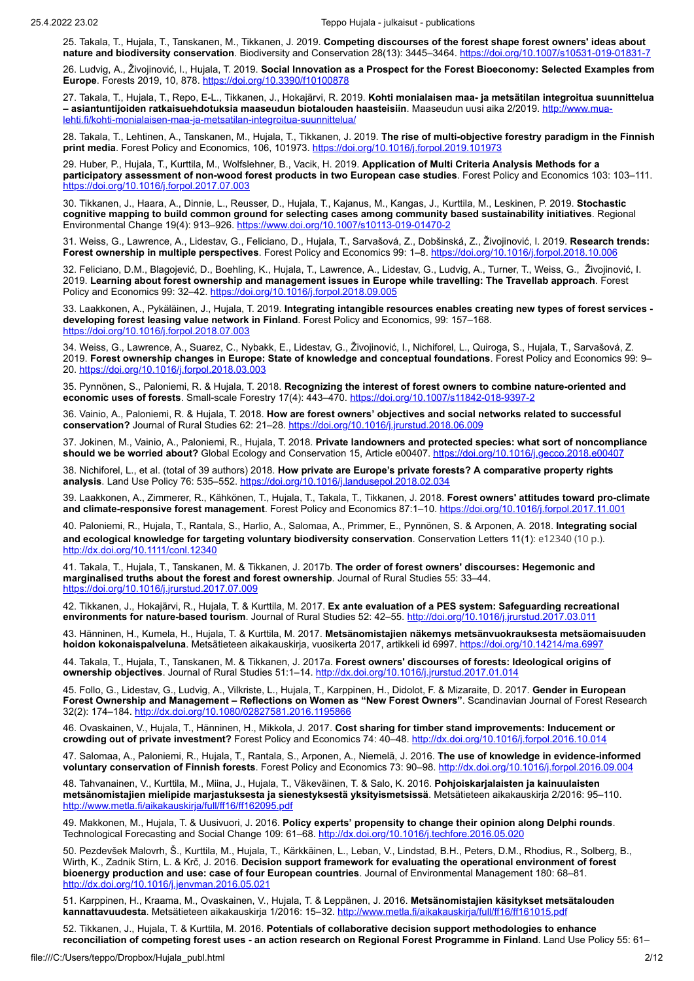25. Takala, T., Hujala, T., Tanskanen, M., Tikkanen, J. 2019. **Competing discourses of the forest shape forest owners' ideas about nature and biodiversity conservation**. Biodiversity and Conservation 28(13): 3445–3464.<https://doi.org/10.1007/s10531-019-01831-7>

26. Ludvig, A., Živojinović, I., Hujala, T. 2019. **Social Innovation as a Prospect for the Forest Bioeconomy: Selected Examples from Europe**. Forests 2019, 10, 878.<https://doi.org/10.3390/f10100878>

27. Takala, T., Hujala, T., Repo, E-L., Tikkanen, J., Hokajärvi, R. 2019. **Kohti monialaisen maa- ja metsätilan integroitua suunnittelua – [asiantuntijoiden ratkaisuehdotuksia maaseudun biotalouden haasteisiin](http://www.mua-lehti.fi/kohti-monialaisen-maa-ja-metsatilan-integroitua-suunnittelua/)**. Maaseudun uusi aika 2/2019. http://www.mualehti.fi/kohti-monialaisen-maa-ja-metsatilan-integroitua-suunnittelua/

28. Takala, T., Lehtinen, A., Tanskanen, M., Hujala, T., Tikkanen, J. 2019. **The rise of multi-objective forestry paradigm in the Finnish print media**. Forest Policy and Economics, 106, 101973.<https://doi.org/10.1016/j.forpol.2019.101973>

29. Huber, P., Hujala, T., Kurttila, M., Wolfslehner, B., Vacik, H. 2019. **Application of Multi Criteria Analysis Methods for a participatory assessment of non-wood forest products in two European case studies**. Forest Policy and Economics 103: 103–111. <https://doi.org/10.1016/j.forpol.2017.07.003>

30. Tikkanen, J., Haara, A., Dinnie, L., Reusser, D., Hujala, T., Kajanus, M., Kangas, J., Kurttila, M., Leskinen, P. 2019. **Stochastic cognitive mapping to build common ground for selecting cases among community based sustainability initiatives**. Regional Environmental Change 19(4): 913–926. <https://www.doi.org/10.1007/s10113-019-01470-2>

31. Weiss, G., Lawrence, A., Lidestav, G., Feliciano, D., Hujala, T., Sarvašová, Z., Dobšinská, Z., Živojinović, I. 2019. **Research trends: Forest ownership in multiple perspectives**. Forest Policy and Economics 99: 1–8.<https://doi.org/10.1016/j.forpol.2018.10.006>

32. Feliciano, D.M., Blagojević, D., Boehling, K., Hujala, T., Lawrence, A., Lidestav, G., Ludvig, A., Turner, T., Weiss, G., Živojinović, I. 2019. **Learning about forest ownership and management issues in Europe while travelling: The Travellab approach**. Forest Policy and Economics 99: 32–42. <https://doi.org/10.1016/j.forpol.2018.09.005>

33. Laakkonen, A., Pykäläinen, J., Hujala, T. 2019. **Integrating intangible resources enables creating new types of forest services developing forest leasing value network in Finland**. Forest Policy and Economics, 99: 157–168. <https://doi.org/10.1016/j.forpol.2018.07.003>

34. Weiss, G., Lawrence, A., Suarez, C., Nybakk, E., Lidestav, G., Živojinović, I., Nichiforel, L., Quiroga, S., Hujala, T., Sarvašová, Z. 2019. **Forest ownership changes in Europe: State of knowledge and conceptual foundations**. Forest Policy and Economics 99: 9– 20.<https://doi.org/10.1016/j.forpol.2018.03.003>

35. Pynnönen, S., Paloniemi, R. & Hujala, T. 2018. **Recognizing the interest of forest owners to combine nature-oriented and economic uses of forests**. Small-scale Forestry 17(4): 443-470. <https://doi.org/10.1007/s11842-018-9397-2>

36. Vainio, A., Paloniemi, R. & Hujala, T. 2018. **How are forest owners' objectives and social networks related to successful conservation?** Journal of Rural Studies 62: 21–28. <https://doi.org/10.1016/j.jrurstud.2018.06.009>

37. Jokinen, M., Vainio, A., Paloniemi, R., Hujala, T. 2018. **Private landowners and protected species: what sort of noncompliance should we be worried about?** Global Ecology and Conservation 15, Article e00407.<https://doi.org/10.1016/j.gecco.2018.e00407>

38. Nichiforel, L., et al. (total of 39 authors) 2018. **How private are Europe's private forests? A comparative property rights analysis**. Land Use Policy 76: 535–552. <https://doi.org/10.1016/j.landusepol.2018.02.034>

39. Laakkonen, A., Zimmerer, R., Kähkönen, T., Hujala, T., Takala, T., Tikkanen, J. 2018. **Forest owners' attitudes toward pro-climate and climate-responsive forest management**. Forest Policy and Economics 87:1–10. <https://doi.org/10.1016/j.forpol.2017.11.001>

40. Paloniemi, R., Hujala, T., Rantala, S., Harlio, A., Salomaa, A., Primmer, E., Pynnönen, S. & Arponen, A. 2018. **Integrating social and ecological knowledge for targeting voluntary biodiversity conservation**. Conservation Letters 11(1): e12340 (10 p.). <http://dx.doi.org/10.1111/conl.12340>

41. Takala, T., Hujala, T., Tanskanen, M. & Tikkanen, J. 2017b. **The order of forest owners' discourses: Hegemonic and marginalised truths about the forest and forest ownership**. Journal of Rural Studies 55: 33–44. <https://doi.org/10.1016/j.jrurstud.2017.07.009>

42. Tikkanen, J., Hokajärvi, R., Hujala, T. & Kurttila, M. 2017. **Ex ante evaluation of a PES system: Safeguarding recreational environments for nature-based tourism**. Journal of Rural Studies 52: 42–55. <http://doi.org/10.1016/j.jrurstud.2017.03.011>

43. Hänninen, H., Kumela, H., Hujala, T. & Kurttila, M. 2017. **Metsänomistajien näkemys metsänvuokrauksesta metsäomaisuuden hoidon kokonaispalveluna**. Metsätieteen aikakauskirja, vuosikerta 2017, artikkeli id 6997. <https://doi.org/10.14214/ma.6997>

44. Takala, T., Hujala, T., Tanskanen, M. & Tikkanen, J. 2017a. **Forest owners' discourses of forests: Ideological origins of ownership objectives**. Journal of Rural Studies 51:1–14. <http://dx.doi.org/10.1016/j.jrurstud.2017.01.014>

45. Follo, G., Lidestav, G., Ludvig, A., Vilkriste, L., Hujala, T., Karppinen, H., Didolot, F. & Mizaraite, D. 2017. **Gender in European Forest Ownership and Management – Reflections on Women as "New Forest Owners"**. Scandinavian Journal of Forest Research 32(2): 174–184. <u><http://dx.doi.org/10.1080/02827581.2016.1195866></u>

46. Ovaskainen, V., Hujala, T., Hänninen, H., Mikkola, J. 2017. **Cost sharing for timber stand improvements: Inducement or crowding out of private investment?** Forest Policy and Economics 74: 40–48. <http://dx.doi.org/10.1016/j.forpol.2016.10.014>

47. Salomaa, A., Paloniemi, R., Hujala, T., Rantala, S., Arponen, A., Niemelä, J. 2016. **The use of knowledge in evidence-informed voluntary conservation of Finnish forests**. Forest Policy and Economics 73: 90–98. <http://dx.doi.org/10.1016/j.forpol.2016.09.004>

48. Tahvanainen, V., Kurttila, M., Miina, J., Hujala, T., Väkeväinen, T. & Salo, K. 2016. **Pohjoiskarjalaisten ja kainuulaisten metsänomistajien mielipide marjastuksesta ja sienestyksestä yksityismetsissä**. Metsätieteen aikakauskirja 2/2016: 95–110. <http://www.metla.fi/aikakauskirja/full/ff16/ff162095.pdf>

49. Makkonen, M., Hujala, T. & Uusivuori, J. 2016. **Policy experts' propensity to change their opinion along Delphi rounds**. Technological Forecasting and Social Change 109: 61–68. <http://dx.doi.org/10.1016/j.techfore.2016.05.020>

50. Pezdevšek Malovrh, Š., Kurttila, M., Hujala, T., Kärkkäinen, L., Leban, V., Lindstad, B.H., Peters, D.M., Rhodius, R., Solberg, B., Wirth, K., Zadnik Stirn, L. & Krč, J. 2016. **Decision support framework for evaluating the operational environment of forest bioenergy production and use: case of four European countries**. Journal of Environmental Management 180: 68–81. <http://dx.doi.org/10.1016/j.jenvman.2016.05.021>

51. Karppinen, H., Kraama, M., Ovaskainen, V., Hujala, T. & Leppänen, J. 2016. **Metsänomistajien käsitykset metsätalouden kannattavuudesta**. Metsätieteen aikakauskirja 1/2016: 15–32.<http://www.metla.fi/aikakauskirja/full/ff16/ff161015.pdf>

52. Tikkanen, J., Hujala, T. & Kurttila, M. 2016. **Potentials of collaborative decision support methodologies to enhance reconciliation of competing forest uses - an action research on Regional Forest Programme in Finland**. Land Use Policy 55: 61–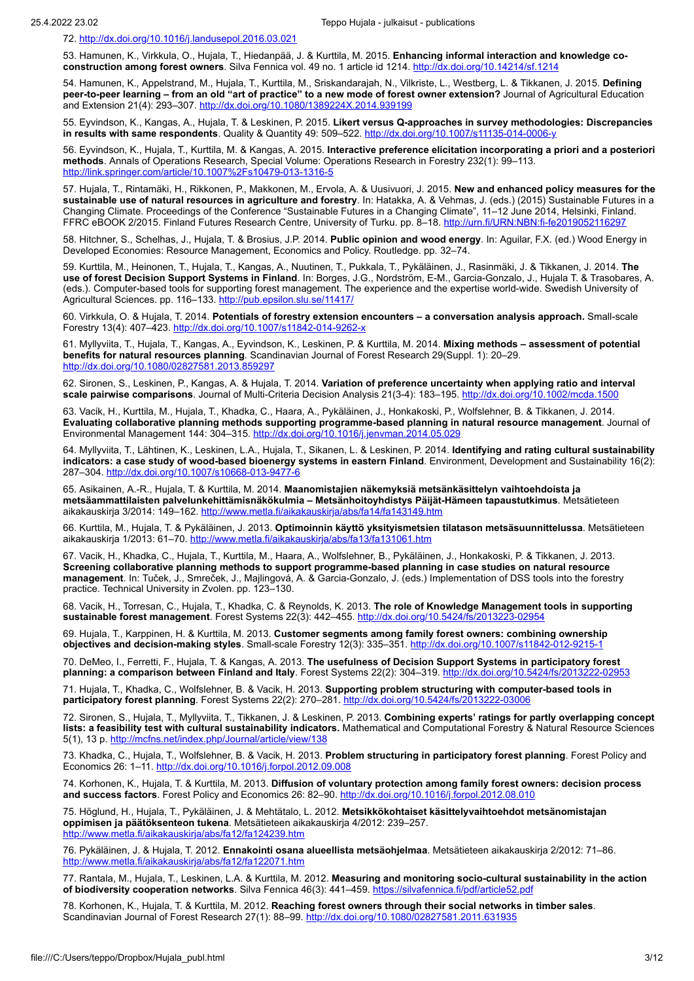72.<http://dx.doi.org/10.1016/j.landusepol.2016.03.021>

53. Hamunen, K., Virkkula, O., Hujala, T., Hiedanpää, J. & Kurttila, M. 2015. **Enhancing informal interaction and knowledge coconstruction among forest owners**. Silva Fennica vol. 49 no. 1 article id 1214. <http://dx.doi.org/10.14214/sf.1214>

54. Hamunen, K., Appelstrand, M., Hujala, T., Kurttila, M., Sriskandarajah, N., Vilkriste, L., Westberg, L. & Tikkanen, J. 2015. **Defining peer-to-peer learning – from an old "art of practice" to a new mode of forest owner extension?** Journal of Agricultural Education and Extension 21(4): 293–307.<http://dx.doi.org/10.1080/1389224X.2014.939199>

55. Eyvindson, K., Kangas, A., Hujala, T. & Leskinen, P. 2015. **Likert versus Q-approaches in survey methodologies: Discrepancies in results with same respondents**. Quality & Quantity 49: 509–522. <http://dx.doi.org/10.1007/s11135-014-0006-y>

56. Eyvindson, K., Hujala, T., Kurttila, M. & Kangas, A. 2015. **Interactive preference elicitation incorporating a priori and a posteriori methods**. Annals of Operations Research, Special Volume: Operations Research in Forestry 232(1): 99–113. <http://link.springer.com/article/10.1007%2Fs10479-013-1316-5>

57. Hujala, T., Rintamäki, H., Rikkonen, P., Makkonen, M., Ervola, A. & Uusivuori, J. 2015. **New and enhanced policy measures for the sustainable use of natural resources in agriculture and forestry**. In: Hatakka, A. & Vehmas, J. (eds.) (2015) Sustainable Futures in a Changing Climate. Proceedings of the Conference "Sustainable Futures in a Changing Climate", 11–12 June 2014, Helsinki, Finland. FFRC eBOOK 2/2015. Finland Futures Research Centre, University of Turku. pp. 8–18.<http://urn.fi/URN:NBN:fi-fe2019052116297>

58. Hitchner, S., Schelhas, J., Hujala, T. & Brosius, J.P. 2014. **Public opinion and wood energy**. In: Aguilar, F.X. (ed.) Wood Energy in Developed Economies: Resource Management, Economics and Policy. Routledge. pp. 32–74.

59. Kurttila, M., Heinonen, T., Hujala, T., Kangas, A., Nuutinen, T., Pukkala, T., Pykäläinen, J., Rasinmäki, J. & Tikkanen, J. 2014. **The use of forest Decision Support Systems in Finland**. In: Borges, J.G., Nordström, E-M., Garcia-Gonzalo, J., Hujala T. & Trasobares, A. (eds.). Computer-based tools for supporting forest management. The experience and the expertise world-wide. Swedish University of Agricultural Sciences. pp. 116-133.<http://pub.epsilon.slu.se/11417/>

60. Virkkula, O. & Hujala, T. 2014. **Potentials of forestry extension encounters – a conversation analysis approach.** Small-scale Forestry 13(4): 407–423. <http://dx.doi.org/10.1007/s11842-014-9262-x>

61. Myllyviita, T., Hujala, T., Kangas, A., Eyvindson, K., Leskinen, P. & Kurttila, M. 2014. **Mixing methods – assessment of potential benefits for natural resources planning**. Scandinavian Journal of Forest Research 29(Suppl. 1): 20–29. <http://dx.doi.org/10.1080/02827581.2013.859297>

62. Sironen, S., Leskinen, P., Kangas, A. & Hujala, T. 2014. **Variation of preference uncertainty when applying ratio and interval scale pairwise comparisons**. Journal of Multi-Criteria Decision Analysis 21(3-4): 183–195. <http://dx.doi.org/10.1002/mcda.1500>

63. Vacik, H., Kurttila, M., Hujala, T., Khadka, C., Haara, A., Pykäläinen, J., Honkakoski, P., Wolfslehner, B. & Tikkanen, J. 2014. **Evaluating collaborative planning methods supporting programme-based planning in natural resource management**. Journal of Environmental Management 144: 304–315. <http://dx.doi.org/10.1016/j.jenvman.2014.05.029>

64. Myllyviita, T., Lähtinen, K., Leskinen, L.A., Hujala, T., Sikanen, L. & Leskinen, P. 2014. **Identifying and rating cultural sustainability indicators: a case study of wood-based bioenergy systems in eastern Finland**. Environment, Development and Sustainability 16(2): 287–304.<http://dx.doi.org/10.1007/s10668-013-9477-6>

65. Asikainen, A.-R., Hujala, T. & Kurttila, M. 2014. **Maanomistajien näkemyksiä metsänkäsittelyn vaihtoehdoista ja metsäammattilaisten palvelunkehittämisnäkökulmia – Metsänhoitoyhdistys Päijät-Hämeen tapaustutkimus**. Metsätieteen aikakauskirja 3/2014: 149–162. <http://www.metla.fi/aikakauskirja/abs/fa14/fa143149.htm>

66. Kurttila, M., Hujala, T. & Pykäläinen, J. 2013. **Optimoinnin käyttö yksityismetsien tilatason metsäsuunnittelussa**. Metsätieteen aikakauskirja 1/2013: 61–70.<http://www.metla.fi/aikakauskirja/abs/fa13/fa131061.htm>

67. Vacik, H., Khadka, C., Hujala, T., Kurttila, M., Haara, A., Wolfslehner, B., Pykäläinen, J., Honkakoski, P. & Tikkanen, J. 2013. **Screening collaborative planning methods to support programme-based planning in case studies on natural resource management**. In: Tuček, J., Smreček, J., Majlingová, A. & Garcia-Gonzalo, J. (eds.) Implementation of DSS tools into the forestry practice. Technical University in Zvolen. pp. 123–130.

68. Vacik, H., Torresan, C., Hujala, T., Khadka, C. & Reynolds, K. 2013. **The role of Knowledge Management tools in supporting sustainable forest management**. Forest Systems 22(3): 442–455. <http://dx.doi.org/10.5424/fs/2013223-02954>

69. Hujala, T., Karppinen, H. & Kurttila, M. 2013. **Customer segments among family forest owners: combining ownership objectives and decision-making styles**. Small-scale Forestry 12(3): 335–351. <http://dx.doi.org/10.1007/s11842-012-9215-1>

70. DeMeo, I., Ferretti, F., Hujala, T. & Kangas, A. 2013. **The usefulness of Decision Support Systems in participatory forest planning: a comparison between Finland and Italy**. Forest Systems 22(2): 304–319.<http://dx.doi.org/10.5424/fs/2013222-02953>

71. Hujala, T., Khadka, C., Wolfslehner, B. & Vacik, H. 2013. **Supporting problem structuring with computer-based tools in** participatory forest planning. Forest Systems 22(2): 270-281. http://dx.doi.org/10.5424/fs/2

72. Sironen, S., Hujala, T., Myllyviita, T., Tikkanen, J. & Leskinen, P. 2013. **Combining experts' ratings for partly overlapping concept lists: a feasibility test with cultural sustainability indicators.** Mathematical and Computational Forestry & Natural Resource Sciences 5(1), 13 p. <http://mcfns.net/index.php/Journal/article/view/138>

73. Khadka, C., Hujala, T., Wolfslehner, B. & Vacik, H. 2013. **Problem structuring in participatory forest planning**. Forest Policy and Economics 26: 1–11. <http://dx.doi.org/10.1016/j.forpol.2012.09.008>

74. Korhonen, K., Hujala, T. & Kurttila, M. 2013. **Diffusion of voluntary protection among family forest owners: decision process and success factors**. Forest Policy and Economics 26: 82–90. <http://dx.doi.org/10.1016/j.forpol.2012.08.010>

75. Höglund, H., Hujala, T., Pykäläinen, J. & Mehtätalo, L. 2012. **Metsikkökohtaiset käsittelyvaihtoehdot metsänomistajan oppimisen ja päätöksenteon tukena**. Metsätieteen aikakauskirja 4/2012: 239–257. <http://www.metla.fi/aikakauskirja/abs/fa12/fa124239.htm>

76. Pykäläinen, J. & Hujala, T. 2012. **Ennakointi osana alueellista metsäohjelmaa**. Metsätieteen aikakauskirja 2/2012: 71–86. <http://www.metla.fi/aikakauskirja/abs/fa12/fa122071.htm>

77. Rantala, M., Hujala, T., Leskinen, L.A. & Kurttila, M. 2012. **Measuring and monitoring socio-cultural sustainability in the action of biodiversity cooperation networks**. Silva Fennica 46(3): 441–459. https://silvafennica.fi/pdf/article

78. Korhonen, K., Hujala, T. & Kurttila, M. 2012. **Reaching forest owners through their social networks in timber sales**. Scandinavian Journal of Forest Research 27(1): 88–99. <http://dx.doi.org/10.1080/02827581.2011.631935>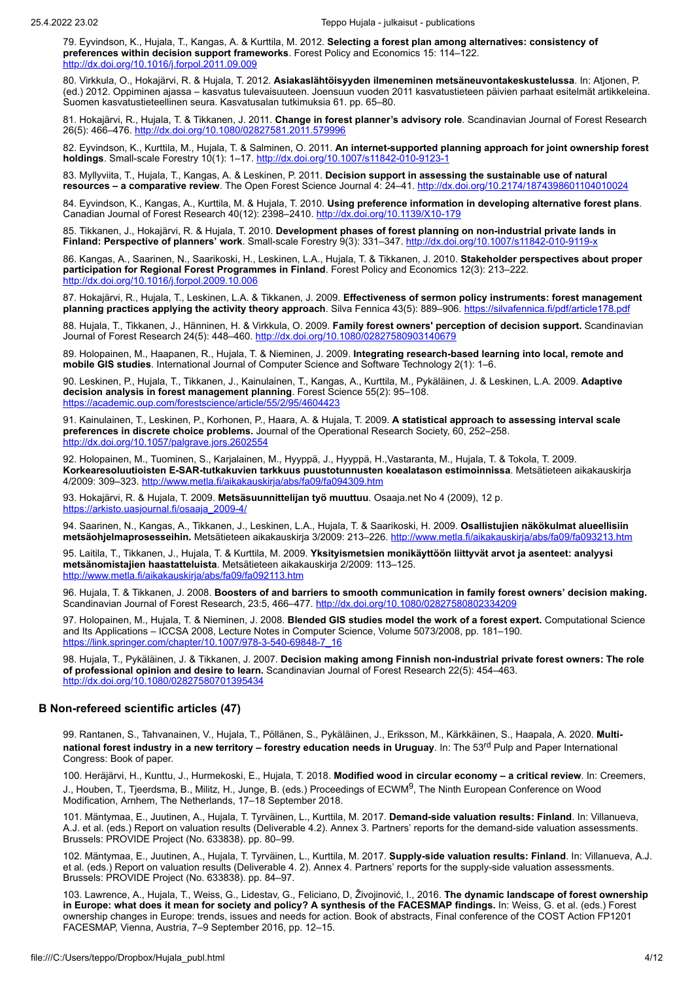79. Eyvindson, K., Hujala, T., Kangas, A. & Kurttila, M. 2012. **Selecting a forest plan among alternatives: consistency of preferences within decision support frameworks**. Forest Policy and Economics 15: 114–122. <http://dx.doi.org/10.1016/j.forpol.2011.09.009>

80. Virkkula, O., Hokajärvi, R. & Hujala, T. 2012. **Asiakaslähtöisyyden ilmeneminen metsäneuvontakeskustelussa**. In: Atjonen, P. (ed.) 2012. Oppiminen ajassa – kasvatus tulevaisuuteen. Joensuun vuoden 2011 kasvatustieteen päivien parhaat esitelmät artikkeleina. Suomen kasvatustieteellinen seura. Kasvatusalan tutkimuksia 61. pp. 65–80.

81. Hokajärvi, R., Hujala, T. & Tikkanen, J. 2011. **Change in forest planner's advisory role**. Scandinavian Journal of Forest Research 26(5): 466–476. <http://dx.doi.org/10.1080/02827581.2011.579996>

82. Eyvindson, K., Kurttila, M., Hujala, T. & Salminen, O. 2011. **An internet-supported planning approach for joint ownership forest holdings**. Small-scale Forestry 10(1): 1–17. <http://dx.doi.org/10.1007/s11842-010-9123-1>

83. Myllyviita, T., Hujala, T., Kangas, A. & Leskinen, P. 2011. **Decision support in assessing the sustainable use of natural resources – a comparative review**. The Open Forest Science Journal 4: 24–41. <http://dx.doi.org/10.2174/1874398601104010024>

84. Eyvindson, K., Kangas, A., Kurttila, M. & Hujala, T. 2010. **Using preference information in developing alternative forest plans**. Canadian Journal of Forest Research 40(12): 2398–2410. <u><http://dx.doi.org/10.1139/X10-179></u>

85. Tikkanen, J., Hokajärvi, R. & Hujala, T. 2010. **Development phases of forest planning on non-industrial private lands in Finland: Perspective of planners' work**. Small-scale Forestry 9(3): 331–347. <http://dx.doi.org/10.1007/s11842-010-9119-x>

86. Kangas, A., Saarinen, N., Saarikoski, H., Leskinen, L.A., Hujala, T. & Tikkanen, J. 2010. **Stakeholder perspectives about proper participation for Regional Forest Programmes in Finland**. Forest Policy and Economics 12(3): 213–222. <http://dx.doi.org/10.1016/j.forpol.2009.10.006>

87. Hokajärvi, R., Hujala, T., Leskinen, L.A. & Tikkanen, J. 2009. **Effectiveness of sermon policy instruments: forest management planning practices applying the activity theory approach**. Silva Fennica 43(5): 889–906. <https://silvafennica.fi/pdf/article178.pdf>

88. Hujala, T., Tikkanen, J., Hänninen, H. & Virkkula, O. 2009. **Family forest owners' perception of decision support.** Scandinavian Journal of Forest Research 24(5): 448–460. <http://dx.doi.org/10.1080/02827580903140679>

89. Holopainen, M., Haapanen, R., Hujala, T. & Nieminen, J. 2009. **Integrating research-based learning into local, remote and mobile GIS studies**. International Journal of Computer Science and Software Technology 2(1): 1–6.

90. Leskinen, P., Hujala, T., Tikkanen, J., Kainulainen, T., Kangas, A., Kurttila, M., Pykäläinen, J. & Leskinen, L.A. 2009. **Adaptive decision analysis in forest management planning**. Forest Science 55(2): 95–108. <https://academic.oup.com/forestscience/article/55/2/95/4604423>

91. Kainulainen, T., Leskinen, P., Korhonen, P., Haara, A. & Hujala, T. 2009. **A statistical approach to assessing interval scale preferences in discrete choice problems.** Journal of the Operational Research Society, 60, 252–258. <http://dx.doi.org/10.1057/palgrave.jors.2602554>

92. Holopainen, M., Tuominen, S., Karjalainen, M., Hyyppä, J., Hyyppä, H.,Vastaranta, M., Hujala, T. & Tokola, T. 2009. **Korkearesoluutioisten E-SAR-tutkakuvien tarkkuus puustotunnusten koealatason estimoinnissa**. Metsätieteen aikakauskirja 4/2009: 309–323. <http://www.metla.fi/aikakauskirja/abs/fa09/fa094309.htm>

93. Hokajärvi, R. & Hujala, T. 2009. **Metsäsuunnittelijan työ muuttuu**. Osaaja.net No 4 (2009), 12 p. [https://arkisto.uasjournal.fi/osaaja\\_2009-4/](https://arkisto.uasjournal.fi/osaaja_2009-4/)

94. Saarinen, N., Kangas, A., Tikkanen, J., Leskinen, L.A., Hujala, T. & Saarikoski, H. 2009. **Osallistujien näkökulmat alueellisiin metsäohjelmaprosesseihin.** Metsätieteen aikakauskirja 3/2009: 213–226. <http://www.metla.fi/aikakauskirja/abs/fa09/fa093213.htm>

95. Laitila, T., Tikkanen, J., Hujala, T. & Kurttila, M. 2009. **Yksityismetsien monikäyttöön liittyvät arvot ja asenteet: analyysi metsänomistajien haastatteluista**. Metsätieteen aikakauskirja 2/2009: 113–125. <http://www.metla.fi/aikakauskirja/abs/fa09/fa092113.htm>

96. Hujala, T. & Tikkanen, J. 2008. **Boosters of and barriers to smooth communication in family forest owners' decision making.** Scandinavian Journal of Forest Research, 23:5, 466–477. <http://dx.doi.org/10.1080/02827580802334209>

97. Holopainen, M., Hujala, T. & Nieminen, J. 2008. **Blended GIS studies model the work of a forest expert.** Computational Science and Its Applications – ICCSA 2008, Lecture Notes in Computer Science, Volume 5073/2008, pp. 181–190. [https://link.springer.com/chapter/10.1007/978-3-540-69848-7\\_16](https://link.springer.com/chapter/10.1007/978-3-540-69848-7_16)

98. Hujala, T., Pykäläinen, J. & Tikkanen, J. 2007. **Decision making among Finnish non-industrial private forest owners: The role of professional opinion and desire to learn.** Scandinavian Journal of Forest Research 22(5): 454–463. <http://dx.doi.org/10.1080/02827580701395434>

### **B Non-refereed scientific articles (47)**

99. Rantanen, S., Tahvanainen, V., Hujala, T., Pöllänen, S., Pykäläinen, J., Eriksson, M., Kärkkäinen, S., Haapala, A. 2020. **Multinational forest industry in a new territory – forestry education needs in Uruguay. In: The 53<sup>rd</sup> Pulp and Paper International** Congress: Book of paper.

100. Heräjärvi, H., Kunttu, J., Hurmekoski, E., Hujala, T. 2018. **Modified wood in circular economy – a critical review**. In: Creemers, J., Houben, T., Tjeerdsma, B., Militz, H., Junge, B. (eds.) Proceedings of ECWM<sup>9</sup>, The Ninth European Conference on Wood Modification, Arnhem, The Netherlands, 17–18 September 2018.

101. Mäntymaa, E., Juutinen, A., Hujala, T. Tyrväinen, L., Kurttila, M. 2017. **Demand-side valuation results: Finland**. In: Villanueva, A.J. et al. (eds.) Report on valuation results (Deliverable 4.2). Annex 3. Partners' reports for the demand-side valuation assessments. Brussels: PROVIDE Project (No. 633838). pp. 80–99.

102. Mäntymaa, E., Juutinen, A., Hujala, T. Tyrväinen, L., Kurttila, M. 2017. **Supply-side valuation results: Finland**. In: Villanueva, A.J. et al. (eds.) Report on valuation results (Deliverable 4. 2). Annex 4. Partners' reports for the supply-side valuation assessments. Brussels: PROVIDE Project (No. 633838). pp. 84–97.

103. Lawrence, A., Hujala, T., Weiss, G., Lidestav, G., Feliciano, D, Živojinović, I., 2016. **The dynamic landscape of forest ownership in Europe: what does it mean for society and policy? A synthesis of the FACESMAP findings.** In: Weiss, G. et al. (eds.) Forest ownership changes in Europe: trends, issues and needs for action. Book of abstracts, Final conference of the COST Action FP1201 FACESMAP, Vienna, Austria, 7–9 September 2016, pp. 12–15.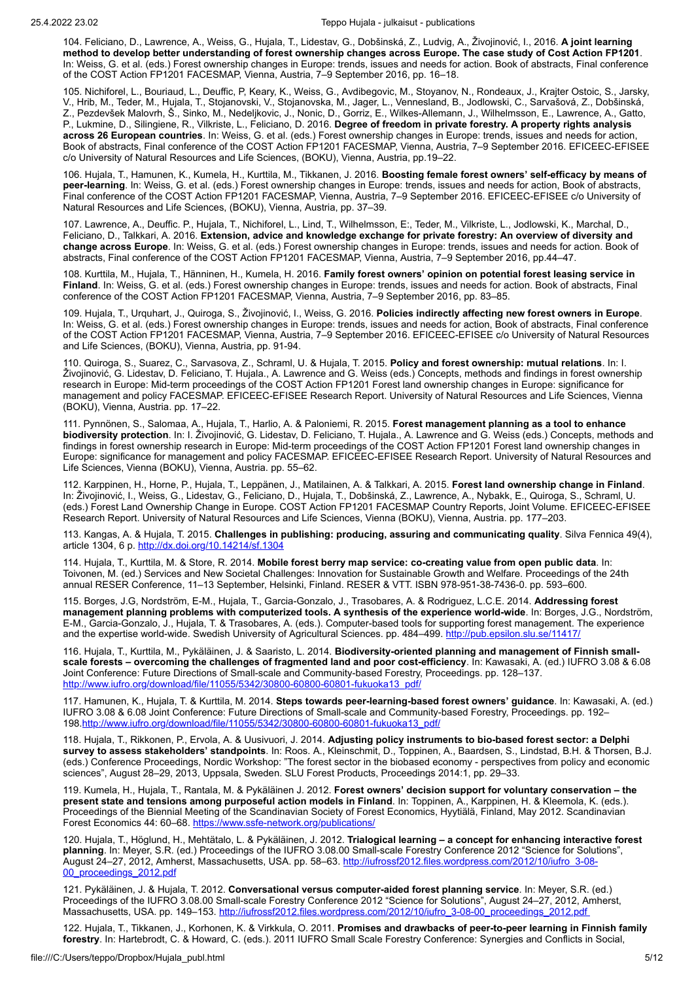104. Feliciano, D., Lawrence, A., Weiss, G., Hujala, T., Lidestav, G., Dobšinská, Z., Ludvig, A., Živojinović, I., 2016. **A joint learning method to develop better understanding of forest ownership changes across Europe. The case study of Cost Action FP1201**. In: Weiss, G. et al. (eds.) Forest ownership changes in Europe: trends, issues and needs for action. Book of abstracts, Final conference of the COST Action FP1201 FACESMAP, Vienna, Austria, 7–9 September 2016, pp. 16–18.

105. Nichiforel, L., Bouriaud, L., Deuffic, P, Keary, K., Weiss, G., Avdibegovic, M., Stoyanov, N., Rondeaux, J., Krajter Ostoic, S., Jarsky, V., Hrib, M., Teder, M., Hujala, T., Stojanovski, V., Stojanovska, M., Jager, L., Vennesland, B., Jodlowski, C., Sarvašová, Z., Dobšinská, Z., Pezdevšek Malovrh, Š., Sinko, M., Nedeljkovic, J., Nonic, D., Gorriz, E., Wilkes-Allemann, J., Wilhelmsson, E., Lawrence, A., Gatto, P., Lukmine, D., Silingiene, R., Vilkriste, L., Feliciano, D. 2016. **Degree of freedom in private forestry. A property rights analysis across 26 European countries**. In: Weiss, G. et al. (eds.) Forest ownership changes in Europe: trends, issues and needs for action, Book of abstracts, Final conference of the COST Action FP1201 FACESMAP, Vienna, Austria, 7–9 September 2016. EFICEEC-EFISEE c/o University of Natural Resources and Life Sciences, (BOKU), Vienna, Austria, pp.19–22.

106. Hujala, T., Hamunen, K., Kumela, H., Kurttila, M., Tikkanen, J. 2016. **Boosting female forest owners' self-efficacy by means of peer-learning**. In: Weiss, G. et al. (eds.) Forest ownership changes in Europe: trends, issues and needs for action, Book of abstracts, Final conference of the COST Action FP1201 FACESMAP, Vienna, Austria, 7–9 September 2016. EFICEEC-EFISEE c/o University of Natural Resources and Life Sciences, (BOKU), Vienna, Austria, pp. 37–39.

107. Lawrence, A., Deuffic. P., Hujala, T., Nichiforel, L., Lind, T., Wilhelmsson, E:, Teder, M., Vilkriste, L., Jodlowski, K., Marchal, D., Feliciano, D., Talkkari, A. 2016. **Extension, advice and knowledge exchange for private forestry: An overview of diversity and change across Europe**. In: Weiss, G. et al. (eds.) Forest ownership changes in Europe: trends, issues and needs for action. Book of abstracts, Final conference of the COST Action FP1201 FACESMAP, Vienna, Austria, 7–9 September 2016, pp.44–47.

108. Kurttila, M., Hujala, T., Hänninen, H., Kumela, H. 2016. **Family forest owners' opinion on potential forest leasing service in Finland**. In: Weiss, G. et al. (eds.) Forest ownership changes in Europe: trends, issues and needs for action. Book of abstracts, Final conference of the COST Action FP1201 FACESMAP, Vienna, Austria, 7–9 September 2016, pp. 83–85.

109. Hujala, T., Urquhart, J., Quiroga, S., Živojinović, I., Weiss, G. 2016. **Policies indirectly affecting new forest owners in Europe**. In: Weiss, G. et al. (eds.) Forest ownership changes in Europe: trends, issues and needs for action, Book of abstracts, Final conference of the COST Action FP1201 FACESMAP, Vienna, Austria, 7–9 September 2016. EFICEEC-EFISEE c/o University of Natural Resources and Life Sciences, (BOKU), Vienna, Austria, pp. 91-94.

110. Quiroga, S., Suarez, C., Sarvasova, Z., Schraml, U. & Hujala, T. 2015. **Policy and forest ownership: mutual relations**. In: I. Živojinović, G. Lidestav, D. Feliciano, T. Hujala., A. Lawrence and G. Weiss (eds.) Concepts, methods and findings in forest ownership research in Europe: Mid-term proceedings of the COST Action FP1201 Forest land ownership changes in Europe: significance for management and policy FACESMAP. EFICEEC-EFISEE Research Report. University of Natural Resources and Life Sciences, Vienna (BOKU), Vienna, Austria. pp. 17–22.

111. Pynnönen, S., Salomaa, A., Hujala, T., Harlio, A. & Paloniemi, R. 2015. **Forest management planning as a tool to enhance biodiversity protection**. In: I. Živojinović, G. Lidestav, D. Feliciano, T. Hujala., A. Lawrence and G. Weiss (eds.) Concepts, methods and findings in forest ownership research in Europe: Mid-term proceedings of the COST Action FP1201 Forest land ownership changes in Europe: significance for management and policy FACESMAP. EFICEEC-EFISEE Research Report. University of Natural Resources and Life Sciences, Vienna (BOKU), Vienna, Austria. pp. 55–62.

112. Karppinen, H., Horne, P., Hujala, T., Leppänen, J., Matilainen, A. & Talkkari, A. 2015. **Forest land ownership change in Finland**. In: Živojinović, I., Weiss, G., Lidestav, G., Feliciano, D., Hujala, T., Dobšinská, Z., Lawrence, A., Nybakk, E., Quiroga, S., Schraml, U. (eds.) Forest Land Ownership Change in Europe. COST Action FP1201 FACESMAP Country Reports, Joint Volume. EFICEEC-EFISEE Research Report. University of Natural Resources and Life Sciences, Vienna (BOKU), Vienna, Austria. pp. 177–203.

113. Kangas, A. & Hujala, T. 2015. **Challenges in publishing: producing, assuring and communicating quality**. Silva Fennica 49(4), article 1304, 6 p. <http://dx.doi.org/10.14214/sf.1304>

114. Hujala, T., Kurttila, M. & Store, R. 2014. **Mobile forest berry map service: co-creating value from open public data**. In: Toivonen, M. (ed.) Services and New Societal Challenges: Innovation for Sustainable Growth and Welfare. Proceedings of the 24th annual RESER Conference, 11–13 September, Helsinki, Finland. RESER & VTT. ISBN 978-951-38-7436-0. pp. 593–600.

115. Borges, J.G, Nordström, E-M., Hujala, T., Garcia-Gonzalo, J., Trasobares, A. & Rodriguez, L.C.E. 2014. **Addressing forest management planning problems with computerized tools. A synthesis of the experience world-wide**. In: Borges, J.G., Nordström, E-M., Garcia-Gonzalo, J., Hujala, T. & Trasobares, A. (eds.). Computer-based tools for supporting forest management. The experience and the expertise world-wide. Swedish University of Agricultural Sciences. pp. 484–499. <http://pub.epsilon.slu.se/11417/>

116. Hujala, T., Kurttila, M., Pykäläinen, J. & Saaristo, L. 2014. **Biodiversity-oriented planning and management of Finnish smallscale forests – overcoming the challenges of fragmented land and poor cost-efficiency**. In: Kawasaki, A. (ed.) IUFRO 3.08 & 6.08 Joint Conference: Future Directions of Small-scale and Community-based Forestry, Proceedings. pp. 128–137. [http://www.iufro.org/download/file/11055/5342/30800-60800-60801-fukuoka13\\_pdf/](http://www.iufro.org/download/file/11055/5342/30800-60800-60801-fukuoka13_pdf/)

117. Hamunen, K., Hujala, T. & Kurttila, M. 2014. **Steps towards peer-learning-based forest owners' guidance**. In: Kawasaki, A. (ed.) IUFRO 3.08 & 6.08 Joint Conference: Future Directions of Small-scale and Community-based Forestry, Proceedings. pp. 192– 198[.http://www.iufro.org/download/file/11055/5342/30800-60800-60801-fukuoka13\\_pdf/](http://www.iufro.org/download/file/11055/5342/30800-60800-60801-fukuoka13_pdf/)

118. Hujala, T., Rikkonen, P., Ervola, A. & Uusivuori, J. 2014. **Adjusting policy instruments to bio-based forest sector: a Delphi survey to assess stakeholders' standpoints**. In: Roos. A., Kleinschmit, D., Toppinen, A., Baardsen, S., Lindstad, B.H. & Thorsen, B.J. (eds.) Conference Proceedings, Nordic Workshop: "The forest sector in the biobased economy - perspectives from policy and economic sciences", August 28–29, 2013, Uppsala, Sweden. SLU Forest Products, Proceedings 2014:1, pp. 29–33.

119. Kumela, H., Hujala, T., Rantala, M. & Pykäläinen J. 2012. **Forest owners' decision support for voluntary conservation – the present state and tensions among purposeful action models in Finland**. In: Toppinen, A., Karppinen, H. & Kleemola, K. (eds.). Proceedings of the Biennial Meeting of the Scandinavian Society of Forest Economics, Hyytiälä, Finland, May 2012. Scandinavian Forest Economics 44: 60-68. <https://www.ssfe-network.org/publications/>

120. Hujala, T., Höglund, H., Mehtätalo, L. & Pykäläinen, J. 2012. **Trialogical learning – a concept for enhancing interactive forest planning**. In: Meyer, S.R. (ed.) Proceedings of the IUFRO 3.08.00 Small-scale Forestry Conference 2012 "Science for Solutions", August 24–27, 2012, [Amherst, Massachusetts, USA. pp. 58–63. http://iufrossf2012.files.wordpress.com/2012/10/iufro\\_3-08-](http://iufrossf2012.files.wordpress.com/2012/10/iufro_3-08-00_proceedings_2012.pdf) 00\_proceedings\_2012.pdf

121. Pykäläinen, J. & Hujala, T. 2012. **Conversational versus computer-aided forest planning service**. In: Meyer, S.R. (ed.) Proceedings of the IUFRO 3.08.00 Small-scale Forestry Conference 2012 "Science for Solutions", August 24–27, 2012, Amherst, Massachusetts, USA. pp. 149–153. [http://iufrossf2012.files.wordpress.com/2012/10/iufro\\_3-08-00\\_proceedings\\_2012.pdf](http://iufrossf2012.files.wordpress.com/2012/10/iufro_3-08-00_proceedings_2012.pdf)

122. Hujala, T., Tikkanen, J., Korhonen, K. & Virkkula, O. 2011. **Promises and drawbacks of peer-to-peer learning in Finnish family forestry**. In: Hartebrodt, C. & Howard, C. (eds.). 2011 IUFRO Small Scale Forestry Conference: Synergies and Conflicts in Social,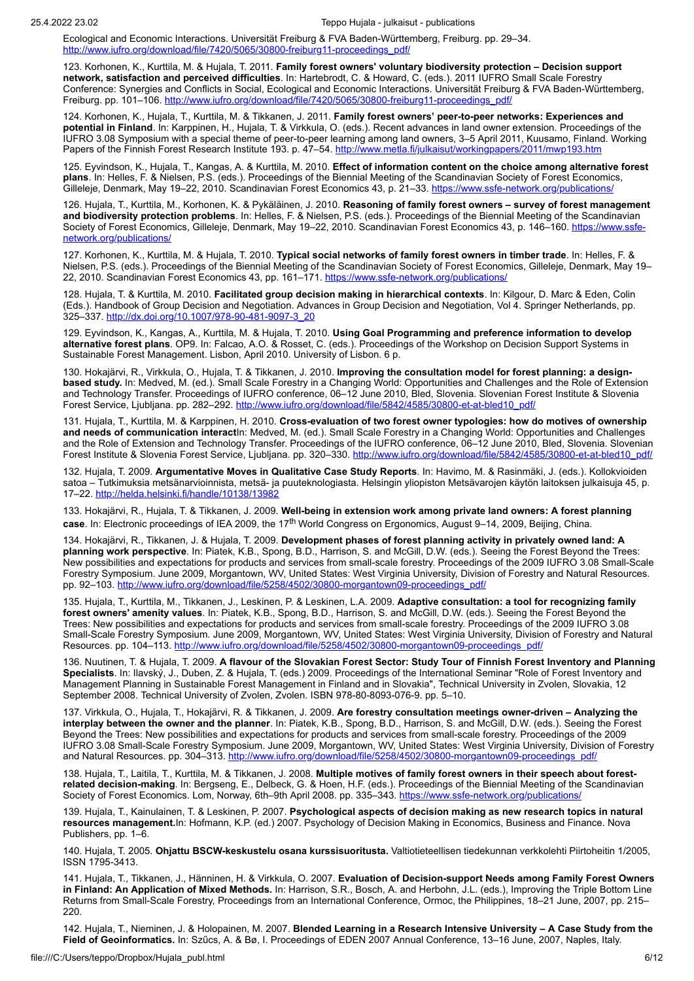Ecological and Economic Interactions. Universität Freiburg & FVA Baden-Württemberg, Freiburg. pp. 29–34. [http://www.iufro.org/download/file/7420/5065/30800-freiburg11-proceedings\\_pdf/](http://www.iufro.org/download/file/7420/5065/30800-freiburg11-proceedings_pdf/)

123. Korhonen, K., Kurttila, M. & Hujala, T. 2011. **Family forest owners' voluntary biodiversity protection – Decision support network, satisfaction and perceived difficulties**. In: Hartebrodt, C. & Howard, C. (eds.). 2011 IUFRO Small Scale Forestry Conference: Synergies and Conflicts in Social, Ecological and Economic Interactions. Universität Freiburg & FVA Baden-Württemberg, Freiburg. pp. 101-106. [http://www.iufro.org/download/file/7420/5065/30800-freiburg11-proceedings\\_pdf/](http://www.iufro.org/download/file/7420/5065/30800-freiburg11-proceedings_pdf/)

124. Korhonen, K., Hujala, T., Kurttila, M. & Tikkanen, J. 2011. **Family forest owners' peer-to-peer networks: Experiences and potential in Finland**. In: Karppinen, H., Hujala, T. & Virkkula, O. (eds.). Recent advances in land owner extension. Proceedings of the IUFRO 3.08 Symposium with a special theme of peer-to-peer learning among land owners, 3–5 April 2011, Kuusamo, Finland. Working Papers of the Finnish Forest Research Institute 193. p. 47–54. <u>http://www.metla.fi/julkaisut/workingpapers/2011/mwp193.htm</u>

125. Eyvindson, K., Hujala, T., Kangas, A. & Kurttila, M. 2010. **Effect of information content on the choice among alternative forest plans**. In: Helles, F. & Nielsen, P.S. (eds.). Proceedings of the Biennial Meeting of the Scandinavian Society of Forest Economics, Gilleleje, Denmark, May 19–22, 2010. Scandinavian Forest Economics 43, p. 21–33. <https://www.ssfe-network.org/publications/>

126. Hujala, T., Kurttila, M., Korhonen, K. & Pykäläinen, J. 2010. **Reasoning of family forest owners – survey of forest management and biodiversity protection problems**. In: Helles, F. & Nielsen, P.S. (eds.). Proceedings of the Biennial Meeting of the Scandinavian Society [of Forest Economics, Gilleleje, Denmark, May 19–22, 2010. Scandinavian](https://www.ssfe-network.org/publications/) Forest Economics 43, p. 146–160. <u>https://www.ssfe-</u> network.org/publications/

127. Korhonen, K., Kurttila, M. & Hujala, T. 2010. **Typical social networks of family forest owners in timber trade**. In: Helles, F. & Nielsen, P.S. (eds.). Proceedings of the Biennial Meeting of the Scandinavian Society of Forest Economics, Gilleleje, Denmark, May 19– 22, 2010. Scandinavian Forest Economics 43, pp. 161-171. <https://www.ssfe-network.org/publications/>

128. Hujala, T. & Kurttila, M. 2010. **Facilitated group decision making in hierarchical contexts**. In: Kilgour, D. Marc & Eden, Colin (Eds.). Handbook of Group Decision and Negotiation. Advances in Group Decision and Negotiation, Vol 4. Springer Netherlands, pp. 325–337. [http://dx.doi.org/10.1007/978-90-481-9097-3\\_20](http://dx.doi.org/10.1007/978-90-481-9097-3_20)

129. Eyvindson, K., Kangas, A., Kurttila, M. & Hujala, T. 2010. **Using Goal Programming and preference information to develop alternative forest plans**. OP9. In: Falcao, A.O. & Rosset, C. (eds.). Proceedings of the Workshop on Decision Support Systems in Sustainable Forest Management. Lisbon, April 2010. University of Lisbon. 6 p.

130. Hokajärvi, R., Virkkula, O., Hujala, T. & Tikkanen, J. 2010. **Improving the consultation model for forest planning: a designbased study.** In: Medved, M. (ed.). Small Scale Forestry in a Changing World: Opportunities and Challenges and the Role of Extension and Technology Transfer. Proceedings of IUFRO conference, 06–12 June 2010, Bled, Slovenia. Slovenian Forest Institute & Slovenia Forest Service, Ljubljana. pp. 282–292. [http://www.iufro.org/download/file/5842/4585/30800-et-at-bled10\\_pdf/](http://www.iufro.org/download/file/5842/4585/30800-et-at-bled10_pdf/)

131. Hujala, T., Kurttila, M. & Karppinen, H. 2010. **Cross-evaluation of two forest owner typologies: how do motives of ownership and needs of communication interact**In: Medved, M. (ed.). Small Scale Forestry in a Changing World: Opportunities and Challenges and the Role of Extension and Technology Transfer. Proceedings of the IUFRO conference, 06–12 June 2010, Bled, Slovenia. Slovenian Forest Institute & Slovenia Forest Service, Ljubljana. pp. 320-330. [http://www.iufro.org/download/file/5842/4585/30800-et-at-bled10\\_pdf/](http://www.iufro.org/download/file/5842/4585/30800-et-at-bled10_pdf/)

132. Hujala, T. 2009. **Argumentative Moves in Qualitative Case Study Reports**. In: Havimo, M. & Rasinmäki, J. (eds.). Kollokvioiden satoa – Tutkimuksia metsänarvioinnista, metsä- ja puuteknologiasta. Helsingin yliopiston Metsävarojen käytön laitoksen julkaisuja 45, p. 17–22.<http://helda.helsinki.fi/handle/10138/13982>

133. Hokajärvi, R., Hujala, T. & Tikkanen, J. 2009. **Well-being in extension work among private land owners: A forest planning case**. In: Electronic proceedings of IEA 2009, the 17th World Congress on Ergonomics, August 9–14, 2009, Beijing, China.

134. Hokajärvi, R., Tikkanen, J. & Hujala, T. 2009. **Development phases of forest planning activity in privately owned land: A planning work perspective**. In: Piatek, K.B., Spong, B.D., Harrison, S. and McGill, D.W. (eds.). Seeing the Forest Beyond the Trees: New possibilities and expectations for products and services from small-scale forestry. Proceedings of the 2009 IUFRO 3.08 Small-Scale Forestry Symposium. June 2009, Morgantown, WV, United States: West Virginia University, Division of Forestry and Natural Resources. pp. 92–103. [http://www.iufro.org/download/file/5258/4502/30800-morgantown09-proceedings\\_pdf/](http://www.iufro.org/download/file/5258/4502/30800-morgantown09-proceedings_pdf/)

135. Hujala, T., Kurttila, M., Tikkanen, J., Leskinen, P. & Leskinen, L.A. 2009. **Adaptive consultation: a tool for recognizing family forest owners' amenity values**. In: Piatek, K.B., Spong, B.D., Harrison, S. and McGill, D.W. (eds.). Seeing the Forest Beyond the Trees: New possibilities and expectations for products and services from small-scale forestry. Proceedings of the 2009 IUFRO 3.08 Small-Scale Forestry Symposium. June 2009, Morgantown, WV, United States: West Virginia University, Division of Forestry and Natural Resources. pp. 104–113. [http://www.iufro.org/download/file/5258/4502/30800-morgantown09-proceedings\\_pdf/](http://www.iufro.org/download/file/5258/4502/30800-morgantown09-proceedings_pdf/)

136. Nuutinen, T. & Hujala, T. 2009. **A flavour of the Slovakian Forest Sector: Study Tour of Finnish Forest Inventory and Planning Specialists**. In: Ilavský, J., Duben, Z. & Hujala, T. (eds.) 2009. Proceedings of the International Seminar "Role of Forest Inventory and Management Planning in Sustainable Forest Management in Finland and in Slovakia", Technical University in Zvolen, Slovakia, 12 September 2008. Technical University of Zvolen, Zvolen. ISBN 978-80-8093-076-9. pp. 5–10.

137. Virkkula, O., Hujala, T., Hokajärvi, R. & Tikkanen, J. 2009. **Are forestry consultation meetings owner-driven – Analyzing the interplay between the owner and the planner**. In: Piatek, K.B., Spong, B.D., Harrison, S. and McGill, D.W. (eds.). Seeing the Forest Beyond the Trees: New possibilities and expectations for products and services from small-scale forestry. Proceedings of the 2009 IUFRO 3.08 Small-Scale Forestry Symposium. June 2009, Morgantown, WV, United States: West Virginia University, Division of Forestry and Natural Resources. pp. 304-313. [http://www.iufro.org/download/file/5258/4502/30800-morgantown09-proceedings\\_pdf/](http://www.iufro.org/download/file/5258/4502/30800-morgantown09-proceedings_pdf/)

138. Hujala, T., Laitila, T., Kurttila, M. & Tikkanen, J. 2008. **Multiple motives of family forest owners in their speech about forestrelated decision-making**. In: Bergseng, E., Delbeck, G. & Hoen, H.F. (eds.). Proceedings of the Biennial Meeting of the Scandinavian Society of Forest Economics. Lom, Norway, 6th–9th April 2008. pp. 335–343.<https://www.ssfe-network.org/publications/>

139. Hujala, T., Kainulainen, T. & Leskinen, P. 2007. **Psychological aspects of decision making as new research topics in natural resources management.**In: Hofmann, K.P. (ed.) 2007. Psychology of Decision Making in Economics, Business and Finance. Nova Publishers, pp. 1–6.

140. Hujala, T. 2005. **Ohjattu BSCW-keskustelu osana kurssisuoritusta.** Valtiotieteellisen tiedekunnan verkkolehti Piirtoheitin 1/2005, ISSN 1795-3413.

141. Hujala, T., Tikkanen, J., Hänninen, H. & Virkkula, O. 2007. **Evaluation of Decision-support Needs among Family Forest Owners in Finland: An Application of Mixed Methods.** In: Harrison, S.R., Bosch, A. and Herbohn, J.L. (eds.), Improving the Triple Bottom Line Returns from Small-Scale Forestry, Proceedings from an International Conference, Ormoc, the Philippines, 18–21 June, 2007, pp. 215– 220.

142. Hujala, T., Nieminen, J. & Holopainen, M. 2007. **Blended Learning in a Research Intensive University – A Case Study from the Field of Geoinformatics.** In: Szűcs, A. & Bø, I. Proceedings of EDEN 2007 Annual Conference, 13–16 June, 2007, Naples, Italy.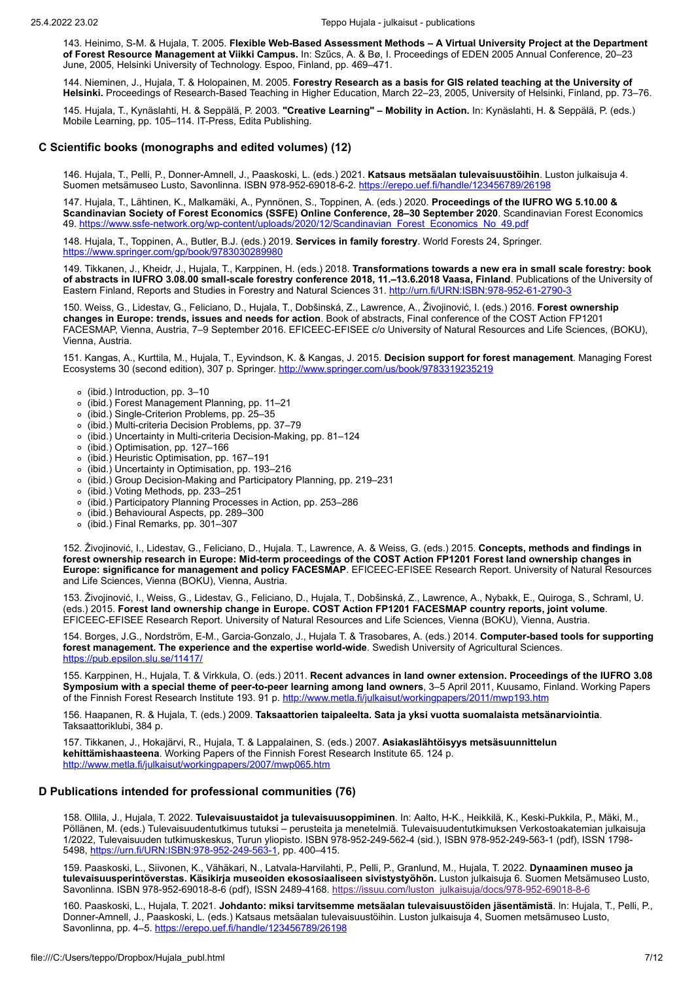143. Heinimo, S-M. & Hujala, T. 2005. **Flexible Web-Based Assessment Methods – A Virtual University Project at the Department of Forest Resource Management at Viikki Campus.** In: Szűcs, A. & Bø, I. Proceedings of EDEN 2005 Annual Conference, 20–23 June, 2005, Helsinki University of Technology. Espoo, Finland, pp. 469–471.

144. Nieminen, J., Hujala, T. & Holopainen, M. 2005. **Forestry Research as a basis for GIS related teaching at the University of Helsinki.** Proceedings of Research-Based Teaching in Higher Education, March 22–23, 2005, University of Helsinki, Finland, pp. 73–76.

145. Hujala, T., Kynäslahti, H. & Seppälä, P. 2003. **"Creative Learning" – Mobility in Action.** In: Kynäslahti, H. & Seppälä, P. (eds.) Mobile Learning, pp. 105–114. IT-Press, Edita Publishing.

### **C Scientific books (monographs and edited volumes) (12)**

146. Hujala, T., Pelli, P., Donner-Amnell, J., Paaskoski, L. (eds.) 2021. **Katsaus metsäalan tulevaisuustöihin**. Luston julkaisuja 4. Suomen metsämuseo Lusto, Savonlinna. ISBN 978-952-69018-6-2.<https://erepo.uef.fi/handle/123456789/26198>

147. Hujala, T., Lähtinen, K., Malkamäki, A., Pynnönen, S., Toppinen, A. (eds.) 2020. **Proceedings of the IUFRO WG 5.10.00 & Scandinavian Society of Forest Economics (SSFE) Online Conference, 28–30 September 2020**. Scandinavian Forest Economics 49. [https://www.ssfe-network.org/wp-content/uploads/2020/12/Scandinavian\\_Forest\\_Economics\\_No\\_49.pdf](https://www.ssfe-network.org/wp-content/uploads/2020/12/Scandinavian_Forest_Economics_No_49.pdf)

148. Hujala, T., Toppinen, A., Butler, B.J. (eds.) 2019. **Services in family forestry**. World Forests 24, Springer. <https://www.springer.com/gp/book/9783030289980>

149. Tikkanen, J., Kheidr, J., Hujala, T., Karppinen, H. (eds.) 2018. **Transformations towards a new era in small scale forestry: book of abstracts in IUFRO 3.08.00 small-scale forestry conference 2018, 11.–13.6.2018 Vaasa, Finland**. Publications of the University of Eastern Finland, Reports and Studies in Forestry and Natural Sciences 31. <http://urn.fi/URN:ISBN:978-952-61-2790-3>

150. Weiss, G., Lidestav, G., Feliciano, D., Hujala, T., Dobšinská, Z., Lawrence, A., Živojinović, I. (eds.) 2016. **Forest ownership changes in Europe: trends, issues and needs for action**. Book of abstracts, Final conference of the COST Action FP1201 FACESMAP, Vienna, Austria, 7–9 September 2016. EFICEEC-EFISEE c/o University of Natural Resources and Life Sciences, (BOKU), Vienna, Austria.

151. Kangas, A., Kurttila, M., Hujala, T., Eyvindson, K. & Kangas, J. 2015. **Decision support for forest management**. Managing Forest Ecosystems 30 (second edition), 307 p. Springer. <http://www.springer.com/us/book/9783319235219>

- (ibid.) Introduction, pp. 3–10
- (ibid.) Forest Management Planning, pp. 11–21
- (ibid.) Single-Criterion Problems, pp. 25–35
- (ibid.) Multi-criteria Decision Problems, pp. 37–79
- (ibid.) Uncertainty in Multi-criteria Decision-Making, pp. 81–124
- (ibid.) Optimisation, pp. 127–166
- (ibid.) Heuristic Optimisation, pp. 167–191
- (ibid.) Uncertainty in Optimisation, pp. 193–216
- (ibid.) Group Decision-Making and Participatory Planning, pp. 219–231
- (ibid.) Voting Methods, pp. 233–251
- (ibid.) Participatory Planning Processes in Action, pp. 253–286
- (ibid.) Behavioural Aspects, pp. 289–300
- (ibid.) Final Remarks, pp. 301–307

152. Živojinović, I., Lidestav, G., Feliciano, D., Hujala. T., Lawrence, A. & Weiss, G. (eds.) 2015. **Concepts, methods and findings in forest ownership research in Europe: Mid-term proceedings of the COST Action FP1201 Forest land ownership changes in Europe: significance for management and policy FACESMAP**. EFICEEC-EFISEE Research Report. University of Natural Resources and Life Sciences, Vienna (BOKU), Vienna, Austria.

153. Živojinović, I., Weiss, G., Lidestav, G., Feliciano, D., Hujala, T., Dobšinská, Z., Lawrence, A., Nybakk, E., Quiroga, S., Schraml, U. (eds.) 2015. **Forest land ownership change in Europe. COST Action FP1201 FACESMAP country reports, joint volume**. EFICEEC-EFISEE Research Report. University of Natural Resources and Life Sciences, Vienna (BOKU), Vienna, Austria.

154. Borges, J.G., Nordström, E-M., Garcia-Gonzalo, J., Hujala T. & Trasobares, A. (eds.) 2014. **Computer-based tools for supporting forest management. The experience and the expertise world-wide**. Swedish University of Agricultural Sciences. <https://pub.epsilon.slu.se/11417/>

155. Karppinen, H., Hujala, T. & Virkkula, O. (eds.) 2011. **Recent advances in land owner extension. Proceedings of the IUFRO 3.08 Symposium with a special theme of peer-to-peer learning among land owners**, 3–5 April 2011, Kuusamo, Finland. Working Papers of the Finnish Forest Research Institute 193. 91 p. <http://www.metla.fi/julkaisut/workingpapers/2011/mwp193.htm>

156. Haapanen, R. & Hujala, T. (eds.) 2009. **Taksaattorien taipaleelta. Sata ja yksi vuotta suomalaista metsänarviointia**. Taksaattoriklubi, 384 p.

157. Tikkanen, J., Hokajärvi, R., Hujala, T. & Lappalainen, S. (eds.) 2007. **Asiakaslähtöisyys metsäsuunnittelun kehittämishaasteena**. Working Papers of the Finnish Forest Research Institute 65. 124 p. <http://www.metla.fi/julkaisut/workingpapers/2007/mwp065.htm>

## **D Publications intended for professional communities (76)**

158. Ollila, J., Hujala, T. 2022. **Tulevaisuustaidot ja tulevaisuusoppiminen**. In: Aalto, H-K., Heikkilä, K., Keski-Pukkila, P., Mäki, M., Pöllänen, M. (eds.) Tulevaisuudentutkimus tutuksi – perusteita ja menetelmiä. Tulevaisuudentutkimuksen Verkostoakatemian julkaisuja 1/2022, Tulevaisuuden tutkimuskeskus, Turun yliopisto. ISBN 978-952-249-562-4 (sid.), ISBN 978-952-249-563-1 (pdf), ISSN 1798- 5498,<https://urn.fi/URN:ISBN:978-952-249-563-1>, pp. 400–415.

159. Paaskoski, L., Siivonen, K., Vähäkari, N., Latvala-Harvilahti, P., Pelli, P., Granlund, M., Hujala, T. 2022. **Dynaaminen museo ja tulevaisuusperintöverstas. Käsikirja museoiden ekososiaaliseen sivistystyöhön.** Luston julkaisuja 6. Suomen Metsämuseo Lusto, Savonlinna. ISBN 978-952-69018-8-6 (pdf), ISSN 2489-4168. [https://issuu.com/luston\\_julkaisuja/docs/978-952-69018-8-6](https://issuu.com/luston_julkaisuja/docs/978-952-69018-8-6)

160. Paaskoski, L., Hujala, T. 2021. **Johdanto: miksi tarvitsemme metsäalan tulevaisuustöiden jäsentämistä**. In: Hujala, T., Pelli, P., Donner-Amnell, J., Paaskoski, L. (eds.) Katsaus metsäalan tulevaisuustöihin. Luston julkaisuja 4, Suomen metsämuseo Lusto, Savonlinna, pp. 4-5.<https://erepo.uef.fi/handle/123456789/26198>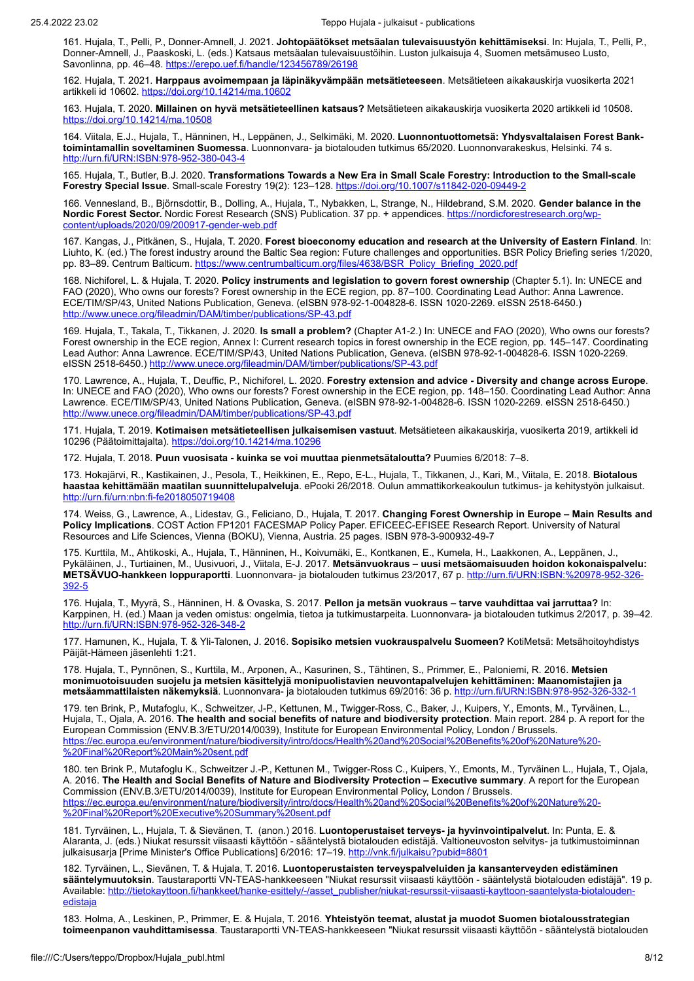161. Hujala, T., Pelli, P., Donner-Amnell, J. 2021. **Johtopäätökset metsäalan tulevaisuustyön kehittämiseksi**. In: Hujala, T., Pelli, P., Donner-Amnell, J., Paaskoski, L. (eds.) Katsaus metsäalan tulevaisuustöihin. Luston julkaisuja 4, Suomen metsämuseo Lusto, Savonlinna, pp. 46-48.<https://erepo.uef.fi/handle/123456789/26198>

162. Hujala, T. 2021. **Harppaus avoimempaan ja läpinäkyvämpään metsätieteeseen**. Metsätieteen aikakauskirja vuosikerta 2021 artikkeli id 10602. <https://doi.org/10.14214/ma.10602>

163. Hujala, T. 2020. **Millainen on hyvä metsätieteellinen katsaus?** Metsätieteen aikakauskirja vuosikerta 2020 artikkeli id 10508. <https://doi.org/10.14214/ma.10508>

164. Viitala, E.J., Hujala, T., Hänninen, H., Leppänen, J., Selkimäki, M. 2020. **Luonnontuottometsä: Yhdysvaltalaisen Forest Banktoimintamallin soveltaminen Suomessa**. Luonnonvara- ja biotalouden tutkimus 65/2020. Luonnonvarakeskus, Helsinki. 74 s. <http://urn.fi/URN:ISBN:978-952-380-043-4>

165. Hujala, T., Butler, B.J. 2020. **Transformations Towards a New Era in Small Scale Forestry: Introduction to the Small-scale Forestry Special Issue**. Small-scale Forestry 19(2): 123–128.<https://doi.org/10.1007/s11842-020-09449-2>

166. Vennesland, B., Björnsdottir, B., Dolling, A., Hujala, T., Nybakken, L, Strange, N., Hildebrand, S.M. 2020. **Gender balance in the Nordic Forest Sector.** Nordic Forest Research (SNS) [Publication. 37 pp. + appendices. https://nordicforestresearch.org/wp](https://nordicforestresearch.org/wp-content/uploads/2020/09/200917-gender-web.pdf)content/uploads/2020/09/200917-gender-web.pdf

167. Kangas, J., Pitkänen, S., Hujala, T. 2020. **Forest bioeconomy education and research at the University of Eastern Finland**. In: Liuhto, K. (ed.) The forest industry around the Baltic Sea region: Future challenges and opportunities. BSR Policy Briefing series 1/2020, pp. 83-89. Centrum Balticum. [https://www.centrumbalticum.org/files/4638/BSR\\_Policy\\_Briefing\\_2020.pdf](https://www.centrumbalticum.org/files/4638/BSR_Policy_Briefing_2020.pdf)

168. Nichiforel, L. & Hujala, T. 2020. **Policy instruments and legislation to govern forest ownership** (Chapter 5.1). In: UNECE and FAO (2020), Who owns our forests? Forest ownership in the ECE region, pp. 87–100. Coordinating Lead Author: Anna Lawrence. ECE/TIM/SP/43, United Nations Publication, Geneva. (eISBN 978-92-1-004828-6. ISSN 1020-2269. eISSN 2518-6450.) <http://www.unece.org/fileadmin/DAM/timber/publications/SP-43.pdf>

169. Hujala, T., Takala, T., Tikkanen, J. 2020. **Is small a problem?** (Chapter A1-2.) In: UNECE and FAO (2020), Who owns our forests? Forest ownership in the ECE region, Annex I: Current research topics in forest ownership in the ECE region, pp. 145–147. Coordinating Lead Author: Anna Lawrence. ECE/TIM/SP/43, United Nations Publication, Geneva. (eISBN 978-92-1-004828-6. ISSN 1020-2269. eISSN 2518-6450.)<http://www.unece.org/fileadmin/DAM/timber/publications/SP-43.pdf>

170. Lawrence, A., Hujala, T., Deuffic, P., Nichiforel, L. 2020. **Forestry extension and advice - Diversity and change across Europe**. In: UNECE and FAO (2020), Who owns our forests? Forest ownership in the ECE region, pp. 148–150. Coordinating Lead Author: Anna Lawrence. ECE/TIM/SP/43, United Nations Publication, Geneva. (eISBN 978-92-1-004828-6. ISSN 1020-2269. eISSN 2518-6450.) <http://www.unece.org/fileadmin/DAM/timber/publications/SP-43.pdf>

171. Hujala, T. 2019. **Kotimaisen metsätieteellisen julkaisemisen vastuut**. Metsätieteen aikakauskirja, vuosikerta 2019, artikkeli id 10296 (Päätoimittajalta). <https://doi.org/10.14214/ma.10296>

172. Hujala, T. 2018. **Puun vuosisata - kuinka se voi muuttaa pienmetsätaloutta?** Puumies 6/2018: 7–8.

173. Hokajärvi, R., Kastikainen, J., Pesola, T., Heikkinen, E., Repo, E-L., Hujala, T., Tikkanen, J., Kari, M., Viitala, E. 2018. **Biotalous haastaa kehittämään maatilan suunnittelupalveluja**. ePooki 26/2018. Oulun ammattikorkeakoulun tutkimus- ja kehitystyön julkaisut. <http://urn.fi/urn:nbn:fi-fe2018050719408>

174. Weiss, G., Lawrence, A., Lidestav, G., Feliciano, D., Hujala, T. 2017. **Changing Forest Ownership in Europe – Main Results and Policy Implications**. COST Action FP1201 FACESMAP Policy Paper. EFICEEC-EFISEE Research Report. University of Natural Resources and Life Sciences, Vienna (BOKU), Vienna, Austria. 25 pages. ISBN 978-3-900932-49-7

175. Kurttila, M., Ahtikoski, A., Hujala, T., Hänninen, H., Koivumäki, E., Kontkanen, E., Kumela, H., Laakkonen, A., Leppänen, J., Pykäläinen, J., Turtiainen, M., Uusivuori, J., Viitala, E-J. 2017. **Metsänvuokraus – uusi metsäomaisuuden hoidon kokonaispalvelu: METSÄVUO-hankkeen loppuraportti**[. Luonnonvara- ja biotalouden tutkimus 23/2017,](http://urn.fi/URN:ISBN:%20978-952-326-392-5) 67 p. http://urn.fi/URN:ISBN:%20978-952-326- 392-5

176. Hujala, T., Myyrä, S., Hänninen, H. & Ovaska, S. 2017. **Pellon ja metsän vuokraus – tarve vauhdittaa vai jarruttaa?** In: Karppinen, H. (ed.) Maan ja veden omistus: ongelmia, tietoa ja tutkimustarpeita. Luonnonvara- ja biotalouden tutkimus 2/2017, p. 39–42. <http://urn.fi/URN:ISBN:978-952-326-348-2>

177. Hamunen, K., Hujala, T. & Yli-Talonen, J. 2016. **Sopisiko metsien vuokrauspalvelu Suomeen?** KotiMetsä: Metsähoitoyhdistys Päijät-Hämeen jäsenlehti 1:21.

178. Hujala, T., Pynnönen, S., Kurttila, M., Arponen, A., Kasurinen, S., Tähtinen, S., Primmer, E., Paloniemi, R. 2016. **Metsien monimuotoisuuden suojelu ja metsien käsittelyjä monipuolistavien neuvontapalvelujen kehittäminen: Maanomistajien ja metsäammattilaisten näkemyksiä**. Luonnonvara- ja biotalouden tutkimus 69/2016: 36 p. http://urn.fi/URN:IS

179. ten Brink, P., Mutafoglu, K., Schweitzer, J-P., Kettunen, M., Twigger-Ross, C., Baker, J., Kuipers, Y., Emonts, M., Tyrväinen, L., Hujala, T., Ojala, A. 2016. **The health and social benefits of nature and biodiversity protection**. Main report. 284 p. A report for the European Commission (ENV.B.3/ETU/2014/0039), Institute for European Environmental Policy, London / Brussels. [https://ec.europa.eu/environment/nature/biodiversity/intro/docs/Health%20and%20Social%20Benefits%20of%20Nature%20-](https://ec.europa.eu/environment/nature/biodiversity/intro/docs/Health%20and%20Social%20Benefits%20of%20Nature%20-%20Final%20Report%20Main%20sent.pdf) %20Final%20Report%20Main%20sent.pdf

180. ten Brink P., Mutafoglu K., Schweitzer J.-P., Kettunen M., Twigger-Ross C., Kuipers, Y., Emonts, M., Tyrväinen L., Hujala, T., Ojala, A. 2016. **The Health and Social Benefits of Nature and Biodiversity Protection – Executive summary**. A report for the European Commission (ENV.B.3/ETU/2014/0039), Institute for European Environmental Policy, London / Brussels. [https://ec.europa.eu/environment/nature/biodiversity/intro/docs/Health%20and%20Social%20Benefits%20of%20Nature%20-](https://ec.europa.eu/environment/nature/biodiversity/intro/docs/Health%20and%20Social%20Benefits%20of%20Nature%20-%20Final%20Report%20Executive%20Summary%20sent.pdf) %20Final%20Report%20Executive%20Summary%20sent.pdf

181. Tyrväinen, L., Hujala, T. & Sievänen, T. (anon.) 2016. **Luontoperustaiset terveys- ja hyvinvointipalvelut**. In: Punta, E. & Alaranta, J. (eds.) Niukat resurssit viisaasti käyttöön - sääntelystä biotalouden edistäjä. Valtioneuvoston selvitys- ja tutkimustoiminnan julkaisusarja [Prime Minister's Office Publications] 6/2016: 17-19.<http://vnk.fi/julkaisu?pubid=8801>

182. Tyrväinen, L., Sievänen, T. & Hujala, T. 2016. **Luontoperustaisten terveyspalveluiden ja kansanterveyden edistäminen sääntelymuutoksin**. Taustaraportti VN-TEAS-hankkeeseen "Niukat resurssit viisaasti käyttöön - sääntelystä biotalouden edistäjä". 19 p. [Available: http://tietokayttoon.fi/hankkeet/hanke-esittely/-/asset\\_publisher/niukat-resurssit-viisaasti-kayttoon-saantelysta-biotalouden](http://tietokayttoon.fi/hankkeet/hanke-esittely/-/asset_publisher/niukat-resurssit-viisaasti-kayttoon-saantelysta-biotalouden-edistaja)edistaj<u>a</u>

183. Holma, A., Leskinen, P., Primmer, E. & Hujala, T. 2016. **Yhteistyön teemat, alustat ja muodot Suomen biotalousstrategian toimeenpanon vauhdittamisessa**. Taustaraportti VN-TEAS-hankkeeseen "Niukat resurssit viisaasti käyttöön - sääntelystä biotalouden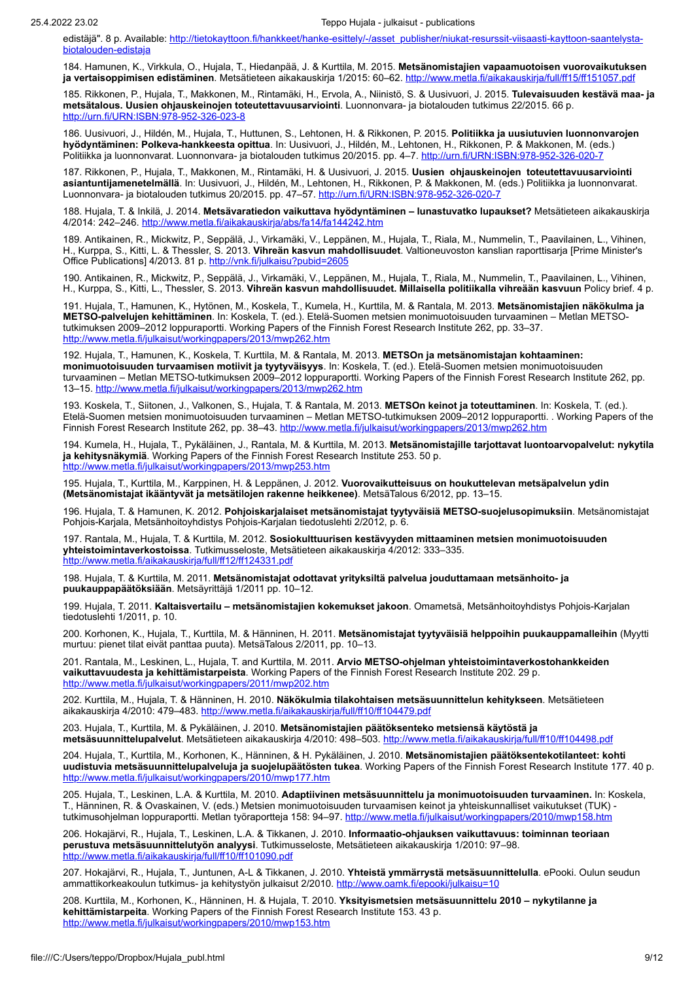edistäjä". 8 p. [Available: http://tietokayttoon.fi/hankkeet/hanke-esittely/-/asset\\_publisher/niukat-resurssit-viisaasti-kayttoon-saantelysta](http://tietokayttoon.fi/hankkeet/hanke-esittely/-/asset_publisher/niukat-resurssit-viisaasti-kayttoon-saantelysta-biotalouden-edistaja)biotalouden-edistaja

184. Hamunen, K., Virkkula, O., Hujala, T., Hiedanpää, J. & Kurttila, M. 2015. **Metsänomistajien vapaamuotoisen vuorovaikutuksen ja vertaisoppimisen edistäminen**. Metsätieteen aikakauskirja 1/2015: 60–62.<http://www.metla.fi/aikakauskirja/full/ff15/ff151057.pdf>

185. Rikkonen, P., Hujala, T., Makkonen, M., Rintamäki, H., Ervola, A., Niinistö, S. & Uusivuori, J. 2015. **Tulevaisuuden kestävä maa- ja metsätalous. Uusien ohjauskeinojen toteutettavuusarviointi**. Luonnonvara- ja biotalouden tutkimus 22/2015. 66 p. http://urn.fi/URN:ISBN:97

186. Uusivuori, J., Hildén, M., Hujala, T., Huttunen, S., Lehtonen, H. & Rikkonen, P. 2015. **Politiikka ja uusiutuvien luonnonvarojen hyödyntäminen: Polkeva-hankkeesta opittua**. In: Uusivuori, J., Hildén, M., Lehtonen, H., Rikkonen, P. & Makkonen, M. (eds.) Politiikka ja luonnonvarat. Luonnonvara- ja biotalouden tutkimus 20/2015. pp. 4–7. http://urn.fi/URN:ISB

187. Rikkonen, P., Hujala, T., Makkonen, M., Rintamäki, H. & Uusivuori, J. 2015. **Uusien ohjauskeinojen toteutettavuusarviointi asiantuntijamenetelmällä**. In: Uusivuori, J., Hildén, M., Lehtonen, H., Rikkonen, P. & Makkonen, M. (eds.) Politiikka ja luonnonvarat. Luonnonvara- ja biotalouden tutkimus 20/2015. pp. 47–57. <http://urn.fi/URN:ISBN:978-952-326-020-7>

188. Hujala, T. & Inkilä, J. 2014. **Metsävaratiedon vaikuttava hyödyntäminen – lunastuvatko lupaukset?** Metsätieteen aikakauskirja 4/2014: 242–246. <http://www.metla.fi/aikakauskirja/abs/fa14/fa144242.htm>

189. Antikainen, R., Mickwitz, P., Seppälä, J., Virkamäki, V., Leppänen, M., Hujala, T., Riala, M., Nummelin, T., Paavilainen, L., Vihinen, H., Kurppa, S., Kitti, L. & Thessler, S. 2013. **Vihreän kasvun mahdollisuudet**. Valtioneuvoston kanslian raporttisarja [Prime Minister's Office Publications] 4/2013. 81 p. <http://vnk.fi/julkaisu?pubid=2605>

190. Antikainen, R., Mickwitz, P., Seppälä, J., Virkamäki, V., Leppänen, M., Hujala, T., Riala, M., Nummelin, T., Paavilainen, L., Vihinen, H., Kurppa, S., Kitti, L., Thessler, S. 2013. **Vihreän kasvun mahdollisuudet. Millaisella politiikalla vihreään kasvuun** Policy brief. 4 p.

191. Hujala, T., Hamunen, K., Hytönen, M., Koskela, T., Kumela, H., Kurttila, M. & Rantala, M. 2013. **Metsänomistajien näkökulma ja METSO-palvelujen kehittäminen**. In: Koskela, T. (ed.). Etelä-Suomen metsien monimuotoisuuden turvaaminen – Metlan METSOtutkimuksen 2009–2012 loppuraportti. Working Papers of the Finnish Forest Research Institute 262, pp. 33–37. <http://www.metla.fi/julkaisut/workingpapers/2013/mwp262.htm>

192. Hujala, T., Hamunen, K., Koskela, T. Kurttila, M. & Rantala, M. 2013. **METSOn ja metsänomistajan kohtaaminen: monimuotoisuuden turvaamisen motiivit ja tyytyväisyys**. In: Koskela, T. (ed.). Etelä-Suomen metsien monimuotoisuuden turvaaminen – Metlan METSO-tutkimuksen 2009–2012 loppuraportti. Working Papers of the Finnish Forest Research Institute 262, pp. 13–15.<http://www.metla.fi/julkaisut/workingpapers/2013/mwp262.htm>

193. Koskela, T., Siitonen, J., Valkonen, S., Hujala, T. & Rantala, M. 2013. **METSOn keinot ja toteuttaminen**. In: Koskela, T. (ed.). Etelä-Suomen metsien monimuotoisuuden turvaaminen – Metlan METSO-tutkimuksen 2009–2012 loppuraportti. . Working Papers of the Finnish Forest Research Institute 262, pp. 38-43. <http://www.metla.fi/julkaisut/workingpapers/2013/mwp262.htm>

194. Kumela, H., Hujala, T., Pykäläinen, J., Rantala, M. & Kurttila, M. 2013. **Metsänomistajille tarjottavat luontoarvopalvelut: nykytila ja kehitysnäkymiä**. Working Papers of the Finnish Forest Research Institute 253. 50 p. <http://www.metla.fi/julkaisut/workingpapers/2013/mwp253.htm>

195. Hujala, T., Kurttila, M., Karppinen, H. & Leppänen, J. 2012. **Vuorovaikutteisuus on houkuttelevan metsäpalvelun ydin (Metsänomistajat ikääntyvät ja metsätilojen rakenne heikkenee)**. MetsäTalous 6/2012, pp. 13–15.

196. Hujala, T. & Hamunen, K. 2012. **Pohjoiskarjalaiset metsänomistajat tyytyväisiä METSO-suojelusopimuksiin**. Metsänomistajat Pohjois-Karjala, Metsänhoitoyhdistys Pohjois-Karjalan tiedotuslehti 2/2012, p. 6.

197. Rantala, M., Hujala, T. & Kurttila, M. 2012. **Sosiokulttuurisen kestävyyden mittaaminen metsien monimuotoisuuden yhteistoimintaverkostoissa**. Tutkimusseloste, Metsätieteen aikakauskirja 4/2012: 333–335. <http://www.metla.fi/aikakauskirja/full/ff12/ff124331.pdf>

198. Hujala, T. & Kurttila, M. 2011. **Metsänomistajat odottavat yrityksiltä palvelua jouduttamaan metsänhoito- ja puukauppapäätöksiään**. Metsäyrittäjä 1/2011 pp. 10–12.

199. Hujala, T. 2011. **Kaltaisvertailu – metsänomistajien kokemukset jakoon**. Omametsä, Metsänhoitoyhdistys Pohjois-Karjalan tiedotuslehti 1/2011, p. 10.

200. Korhonen, K., Hujala, T., Kurttila, M. & Hänninen, H. 2011. **Metsänomistajat tyytyväisiä helppoihin puukauppamalleihin** (Myytti murtuu: pienet tilat eivät panttaa puuta). MetsäTalous 2/2011, pp. 10–13.

201. Rantala, M., Leskinen, L., Hujala, T. and Kurttila, M. 2011. **Arvio METSO-ohjelman yhteistoimintaverkostohankkeiden vaikuttavuudesta ja kehittämistarpeista**. Working Papers of the Finnish Forest Research Institute 202. 29 p. <http://www.metla.fi/julkaisut/workingpapers/2011/mwp202.htm>

202. Kurttila, M., Hujala, T. & Hänninen, H. 2010. **Näkökulmia tilakohtaisen metsäsuunnittelun kehitykseen**. Metsätieteen aikakauskirja 4/2010: 479-483. <http://www.metla.fi/aikakauskirja/full/ff10/ff104479.pdf>

203. Hujala, T., Kurttila, M. & Pykäläinen, J. 2010. **Metsänomistajien päätöksenteko metsiensä käytöstä ja metsäsuunnittelupalvelut**. Metsätieteen aikakauskirja 4/2010: 498–503.<http://www.metla.fi/aikakauskirja/full/ff10/ff104498.pdf>

204. Hujala, T., Kurttila, M., Korhonen, K., Hänninen, & H. Pykäläinen, J. 2010. **Metsänomistajien päätöksentekotilanteet: kohti uudistuvia metsäsuunnittelupalveluja ja suojelupäätösten tukea**. Working Papers of the Finnish Forest Research Institute 177. 40 p. <http://www.metla.fi/julkaisut/workingpapers/2010/mwp177.htm>

205. Hujala, T., Leskinen, L.A. & Kurttila, M. 2010. **Adaptiivinen metsäsuunnittelu ja monimuotoisuuden turvaaminen.** In: Koskela, T., Hänninen, R. & Ovaskainen, V. (eds.) Metsien monimuotoisuuden turvaamisen keinot ja yhteiskunnalliset vaikutukset (TUK) tutkimusohjelman loppuraportti. Metlan työraportteja 158: 94–97. <http://www.metla.fi/julkaisut/workingpapers/2010/mwp158.htm>

206. Hokajärvi, R., Hujala, T., Leskinen, L.A. & Tikkanen, J. 2010. **Informaatio-ohjauksen vaikuttavuus: toiminnan teoriaan perustuva metsäsuunnittelutyön analyysi**. Tutkimusseloste, Metsätieteen aikakauskirja 1/2010: 97–98. <http://www.metla.fi/aikakauskirja/full/ff10/ff101090.pdf>

207. Hokajärvi, R., Hujala, T., Juntunen, A-L & Tikkanen, J. 2010. **Yhteistä ymmärrystä metsäsuunnittelulla**. ePooki. Oulun seudun ammattikorkeakoulun tutkimus- ja kehitystyön julkaisut 2/2010. [http://www.oamk.fi/epooki/julkaisu=10](http://www.oamk.fi/epooki/%3Fjulkaisu=10)

208. Kurttila, M., Korhonen, K., Hänninen, H. & Hujala, T. 2010. **Yksityismetsien metsäsuunnittelu 2010 – nykytilanne ja kehittämistarpeita**. Working Papers of the Finnish Forest Research Institute 153. 43 p. <http://www.metla.fi/julkaisut/workingpapers/2010/mwp153.htm>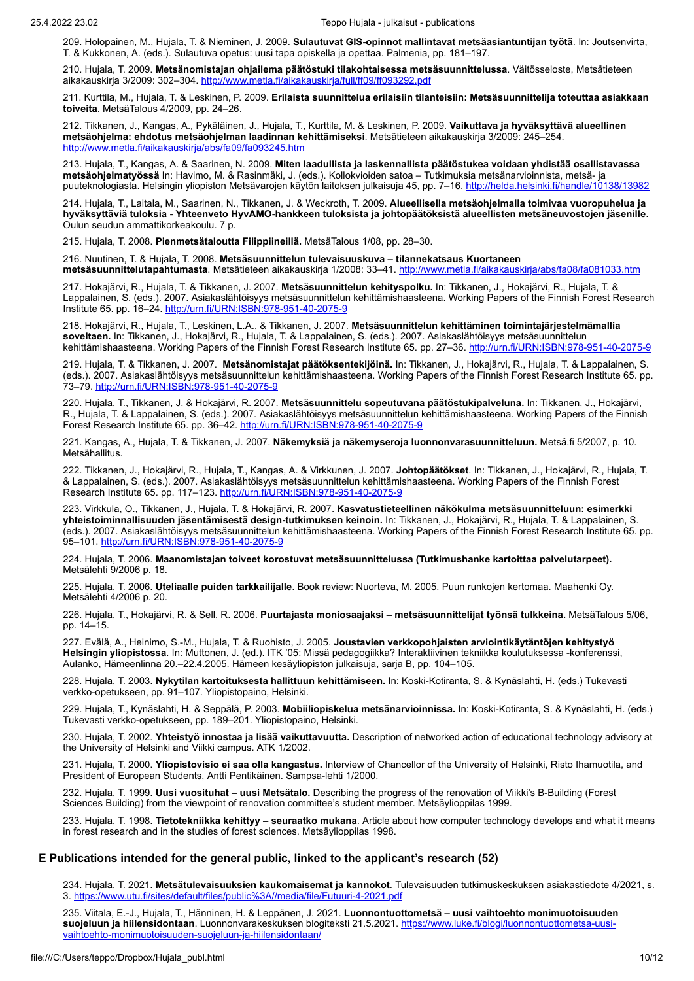209. Holopainen, M., Hujala, T. & Nieminen, J. 2009. **Sulautuvat GIS-opinnot mallintavat metsäasiantuntijan työtä**. In: Joutsenvirta, T. & Kukkonen, A. (eds.). Sulautuva opetus: uusi tapa opiskella ja opettaa. Palmenia, pp. 181–197.

210. Hujala, T. 2009. **Metsänomistajan ohjailema päätöstuki tilakohtaisessa metsäsuunnittelussa**. Väitösseloste, Metsätieteen aikakauskirja 3/2009: 302-304. <http://www.metla.fi/aikakauskirja/full/ff09/ff093292.pdf>

211. Kurttila, M., Hujala, T. & Leskinen, P. 2009. **Erilaista suunnittelua erilaisiin tilanteisiin: Metsäsuunnittelija toteuttaa asiakkaan toiveita**. MetsäTalous 4/2009, pp. 24–26.

212. Tikkanen, J., Kangas, A., Pykäläinen, J., Hujala, T., Kurttila, M. & Leskinen, P. 2009. **Vaikuttava ja hyväksyttävä alueellinen metsäohjelma: ehdotus metsäohjelman laadinnan kehittämiseksi**. Metsätieteen aikakauskirja 3/2009: 245–254. <http://www.metla.fi/aikakauskirja/abs/fa09/fa093245.htm>

213. Hujala, T., Kangas, A. & Saarinen, N. 2009. **Miten laadullista ja laskennallista päätöstukea voidaan yhdistää osallistavassa metsäohjelmatyössä** In: Havimo, M. & Rasinmäki, J. (eds.). Kollokvioiden satoa – Tutkimuksia metsänarvioinnista, metsä- ja puuteknologiasta. Helsingin yliopiston Metsävarojen käytön laitoksen julkaisuja 45, pp. 7–16. <http://helda.helsinki.fi/handle/10138/13982>

214. Hujala, T., Laitala, M., Saarinen, N., Tikkanen, J. & Weckroth, T. 2009. **Alueellisella metsäohjelmalla toimivaa vuoropuhelua ja hyväksyttäviä tuloksia - Yhteenveto HyvAMO-hankkeen tuloksista ja johtopäätöksistä alueellisten metsäneuvostojen jäsenille**. Oulun seudun ammattikorkeakoulu. 7 p.

215. Hujala, T. 2008. **Pienmetsätaloutta Filippiineillä.** MetsäTalous 1/08, pp. 28–30.

216. Nuutinen, T. & Hujala, T. 2008. **Metsäsuunnittelun tulevaisuuskuva – tilannekatsaus Kuortaneen metsäsuunnittelutapahtumasta**. Metsätieteen aikakauskirja 1/2008: 33–41. <http://www.metla.fi/aikakauskirja/abs/fa08/fa081033.htm>

217. Hokajärvi, R., Hujala, T. & Tikkanen, J. 2007. **Metsäsuunnittelun kehityspolku.** In: Tikkanen, J., Hokajärvi, R., Hujala, T. & Lappalainen, S. (eds.). 2007. Asiakaslähtöisyys metsäsuunnittelun kehittämishaasteena. Working Papers of the Finnish Forest Research Institute 65. pp. 16–24. <http://urn.fi/URN:ISBN:978-951-40-2075-9>

218. Hokajärvi, R., Hujala, T., Leskinen, L.A., & Tikkanen, J. 2007. **Metsäsuunnittelun kehittäminen toimintajärjestelmämallia soveltaen.** In: Tikkanen, J., Hokajärvi, R., Hujala, T. & Lappalainen, S. (eds.). 2007. Asiakaslähtöisyys metsäsuunnittelun kehittämishaasteena. Working Papers of the Finnish Forest Research Institute 65. pp. 27–36. <http://urn.fi/URN:ISBN:978-951-40-2075-9>

219. Hujala, T. & Tikkanen, J. 2007. **Metsänomistajat päätöksentekijöinä.** In: Tikkanen, J., Hokajärvi, R., Hujala, T. & Lappalainen, S. (eds.). 2007. Asiakaslähtöisyys metsäsuunnittelun kehittämishaasteena. Working Papers of the Finnish Forest Research Institute 65. pp. 73–79.<http://urn.fi/URN:ISBN:978-951-40-2075-9>

220. Hujala, T., Tikkanen, J. & Hokajärvi, R. 2007. **Metsäsuunnittelu sopeutuvana päätöstukipalveluna.** In: Tikkanen, J., Hokajärvi, R., Hujala, T. & Lappalainen, S. (eds.). 2007. Asiakaslähtöisyys metsäsuunnittelun kehittämishaasteena. Working Papers of the Finnish Forest Research Institute 65. pp. 36–42. <http://urn.fi/URN:ISBN:978-951-40-2075-9>

221. Kangas, A., Hujala, T. & Tikkanen, J. 2007. **Näkemyksiä ja näkemyseroja luonnonvarasuunnitteluun.** Metsä.fi 5/2007, p. 10. Metsähallitus.

222. Tikkanen, J., Hokajärvi, R., Hujala, T., Kangas, A. & Virkkunen, J. 2007. **Johtopäätökset**. In: Tikkanen, J., Hokajärvi, R., Hujala, T. & Lappalainen, S. (eds.). 2007. Asiakaslähtöisyys metsäsuunnittelun kehittämishaasteena. Working Papers of the Finnish Forest Research Institute 65. pp. 117–123. <u>http://urn.fi/URN:ISBN:978-951-40-2075-9</u>

223. Virkkula, O., Tikkanen, J., Hujala, T. & Hokajärvi, R. 2007. **Kasvatustieteellinen näkökulma metsäsuunnitteluun: esimerkki yhteistoiminnallisuuden jäsentämisestä design-tutkimuksen keinoin.** In: Tikkanen, J., Hokajärvi, R., Hujala, T. & Lappalainen, S. (eds.). 2007. Asiakaslähtöisyys metsäsuunnittelun kehittämishaasteena. Working Papers of the Finnish Forest Research Institute 65. pp. 95–101. <http://urn.fi/URN:ISBN:978-951-40-2075-9>

224. Hujala, T. 2006. **Maanomistajan toiveet korostuvat metsäsuunnittelussa (Tutkimushanke kartoittaa palvelutarpeet).** Metsälehti 9/2006 p. 18.

225. Hujala, T. 2006. **Uteliaalle puiden tarkkailijalle**. Book review: Nuorteva, M. 2005. Puun runkojen kertomaa. Maahenki Oy. Metsälehti 4/2006 p. 20.

226. Hujala, T., Hokajärvi, R. & Sell, R. 2006. **Puurtajasta moniosaajaksi – metsäsuunnittelijat työnsä tulkkeina.** MetsäTalous 5/06, pp. 14–15.

227. Evälä, A., Heinimo, S.-M., Hujala, T. & Ruohisto, J. 2005. **Joustavien verkkopohjaisten arviointikäytäntöjen kehitystyö Helsingin yliopistossa**. In: Muttonen, J. (ed.). ITK '05: Missä pedagogiikka? Interaktiivinen tekniikka koulutuksessa -konferenssi, Aulanko, Hämeenlinna 20.–22.4.2005. Hämeen kesäyliopiston julkaisuja, sarja B, pp. 104–105.

228. Hujala, T. 2003. **Nykytilan kartoituksesta hallittuun kehittämiseen.** In: Koski-Kotiranta, S. & Kynäslahti, H. (eds.) Tukevasti verkko-opetukseen, pp. 91–107. Yliopistopaino, Helsinki.

229. Hujala, T., Kynäslahti, H. & Seppälä, P. 2003. **Mobiiliopiskelua metsänarvioinnissa.** In: Koski-Kotiranta, S. & Kynäslahti, H. (eds.) Tukevasti verkko-opetukseen, pp. 189–201. Yliopistopaino, Helsinki.

230. Hujala, T. 2002. **Yhteistyö innostaa ja lisää vaikuttavuutta.** Description of networked action of educational technology advisory at the University of Helsinki and Viikki campus. ATK 1/2002.

231. Hujala, T. 2000. **Yliopistovisio ei saa olla kangastus.** Interview of Chancellor of the University of Helsinki, Risto Ihamuotila, and President of European Students, Antti Pentikäinen. Sampsa-lehti 1/2000.

232. Hujala, T. 1999. **Uusi vuosituhat – uusi Metsätalo.** Describing the progress of the renovation of Viikki's B-Building (Forest Sciences Building) from the viewpoint of renovation committee's student member. Metsäylioppilas 1999.

233. Hujala, T. 1998. **Tietotekniikka kehittyy – seuraatko mukana**. Article about how computer technology develops and what it means in forest research and in the studies of forest sciences. Metsäylioppilas 1998.

### **E Publications intended for the general public, linked to the applicant's research (52)**

234. Hujala, T. 2021. **Metsätulevaisuuksien kaukomaisemat ja kannokot**. Tulevaisuuden tutkimuskeskuksen asiakastiedote 4/2021, s. 3. <https://www.utu.fi/sites/default/files/public%3A//media/file/Futuuri-4-2021.pdf>

235. Viitala, E.-J., Hujala, T., Hänninen, H. & Leppänen, J. 2021. **Luonnontuottometsä – uusi vaihtoehto monimuotoisuuden suojeluun ja hiilensidontaan**. [Luonnonvarakeskuksen blogiteksti 21.5.2021. https://www.luke.fi/blogi/luonnontuottometsa-uusi](https://www.luke.fi/blogi/luonnontuottometsa-uusi-vaihtoehto-monimuotoisuuden-suojeluun-ja-hiilensidontaan/)vaihtoehto-monimuotoisuuden-suojeluun-ja-hiilensidontaan/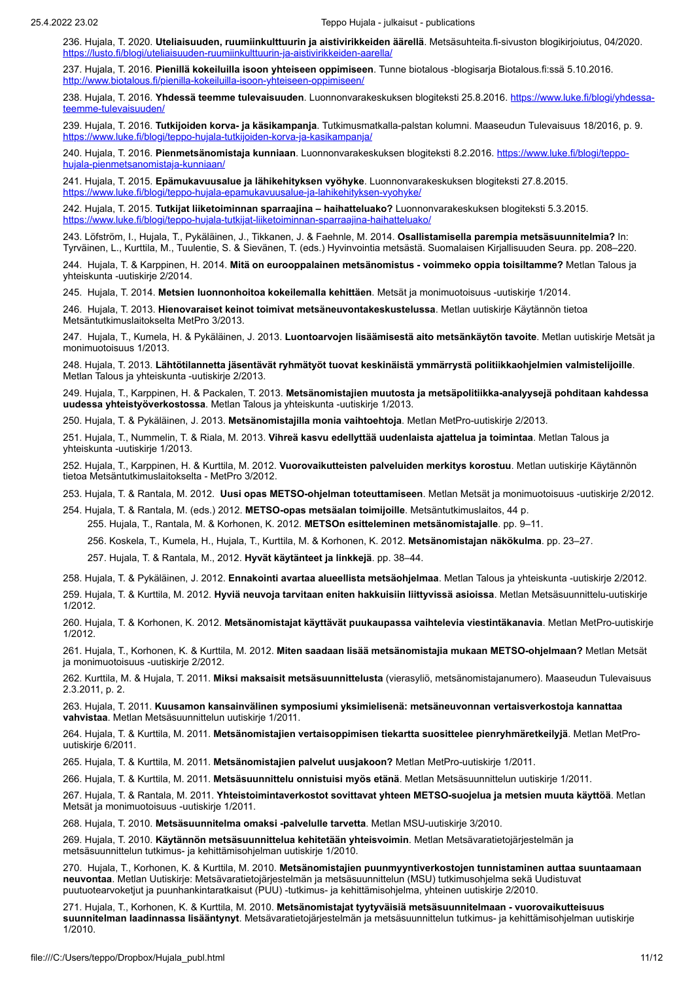236. Hujala, T. 2020. **Uteliaisuuden, ruumiinkulttuurin ja aistivirikkeiden äärellä**. Metsäsuhteita.fi-sivuston blogikirjoiutus, 04/2020. <https://lusto.fi/blogi/uteliaisuuden-ruumiinkulttuurin-ja-aistivirikkeiden-aarella/>

237. Hujala, T. 2016. **Pienillä kokeiluilla isoon yhteiseen oppimiseen**. Tunne biotalous -blogisarja Biotalous.fi:ssä 5.10.2016. <http://www.biotalous.fi/pienilla-kokeiluilla-isoon-yhteiseen-oppimiseen/>

238. Hujala, T. 2016. **Yhdessä teemme tulevaisuuden**. [Luonnonvarakeskuksen blogiteksti 25.8.2016. https://www.luke.fi/blogi/yhdessa](https://www.luke.fi/blogi/yhdessa-teemme-tulevaisuuden/)teemme-tulevaisuuden/

239. Hujala, T. 2016. **Tutkijoiden korva- ja käsikampanja**. Tutkimusmatkalla-palstan kolumni. Maaseudun Tulevaisuus 18/2016, p. 9. <https://www.luke.fi/blogi/teppo-hujala-tutkijoiden-korva-ja-kasikampanja/>

240. Hujala, T. 2016. **Pienmetsänomistaja kunniaan**[. Luonnonvarakeskuksen blogiteksti 8.2.2016. https://www.luke.fi/blogi/teppo](https://www.luke.fi/blogi/teppo-hujala-pienmetsanomistaja-kunniaan/)hujala-pienmetsanomistaja-kunniaan/

241. Hujala, T. 2015. **Epämukavuusalue ja lähikehityksen vyöhyke**. Luonnonvarakeskuksen blogiteksti 27.8.2015. <https://www.luke.fi/blogi/teppo-hujala-epamukavuusalue-ja-lahikehityksen-vyohyke/>

242. Hujala, T. 2015. **Tutkijat liiketoiminnan sparraajina – haihatteluako?** Luonnonvarakeskuksen blogiteksti 5.3.2015. <https://www.luke.fi/blogi/teppo-hujala-tutkijat-liiketoiminnan-sparraajina-haihatteluako/>

243. Löfström, I., Hujala, T., Pykäläinen, J., Tikkanen, J. & Faehnle, M. 2014. **Osallistamisella parempia metsäsuunnitelmia?** In: Tyrväinen, L., Kurttila, M., Tuulentie, S. & Sievänen, T. (eds.) Hyvinvointia metsästä. Suomalaisen Kirjallisuuden Seura. pp. 208–220.

244. Hujala, T. & Karppinen, H. 2014. **Mitä on eurooppalainen metsänomistus - voimmeko oppia toisiltamme?** Metlan Talous ja yhteiskunta -uutiskirje 2/2014.

245. Hujala, T. 2014. **Metsien luonnonhoitoa kokeilemalla kehittäen**. Metsät ja monimuotoisuus -uutiskirje 1/2014.

246. Hujala, T. 2013. **Hienovaraiset keinot toimivat metsäneuvontakeskustelussa**. Metlan uutiskirje Käytännön tietoa Metsäntutkimuslaitokselta MetPro 3/2013.

247. Hujala, T., Kumela, H. & Pykäläinen, J. 2013. **Luontoarvojen lisäämisestä aito metsänkäytön tavoite**. Metlan uutiskirje Metsät ja monimuotoisuus 1/2013.

248. Hujala, T. 2013. **Lähtötilannetta jäsentävät ryhmätyöt tuovat keskinäistä ymmärrystä politiikkaohjelmien valmistelijoille**. Metlan Talous ja yhteiskunta -uutiskirje 2/2013.

249. Hujala, T., Karppinen, H. & Packalen, T. 2013. **Metsänomistajien muutosta ja metsäpolitiikka-analyysejä pohditaan kahdessa uudessa yhteistyöverkostossa**. Metlan Talous ja yhteiskunta -uutiskirje 1/2013.

250. Hujala, T. & Pykäläinen, J. 2013. **Metsänomistajilla monia vaihtoehtoja**. Metlan MetPro-uutiskirje 2/2013.

251. Hujala, T., Nummelin, T. & Riala, M. 2013. **Vihreä kasvu edellyttää uudenlaista ajattelua ja toimintaa**. Metlan Talous ja yhteiskunta -uutiskirje 1/2013.

252. Hujala, T., Karppinen, H. & Kurttila, M. 2012. **Vuorovaikutteisten palveluiden merkitys korostuu**. Metlan uutiskirje Käytännön tietoa Metsäntutkimuslaitokselta - MetPro 3/2012.

253. Hujala, T. & Rantala, M. 2012. **Uusi opas METSO-ohjelman toteuttamiseen**. Metlan Metsät ja monimuotoisuus -uutiskirje 2/2012.

254. Hujala, T. & Rantala, M. (eds.) 2012. **METSO-opas metsäalan toimijoille**. Metsäntutkimuslaitos, 44 p. 255. Hujala, T., Rantala, M. & Korhonen, K. 2012. **METSOn esitteleminen metsänomistajalle**. pp. 9–11.

256. Koskela, T., Kumela, H., Hujala, T., Kurttila, M. & Korhonen, K. 2012. **Metsänomistajan näkökulma**. pp. 23–27.

257. Hujala, T. & Rantala, M., 2012. **Hyvät käytänteet ja linkkejä**. pp. 38–44.

258. Hujala, T. & Pykäläinen, J. 2012. **Ennakointi avartaa alueellista metsäohjelmaa**. Metlan Talous ja yhteiskunta -uutiskirje 2/2012.

259. Hujala, T. & Kurttila, M. 2012. **Hyviä neuvoja tarvitaan eniten hakkuisiin liittyvissä asioissa**. Metlan Metsäsuunnittelu-uutiskirje 1/2012.

260. Hujala, T. & Korhonen, K. 2012. **Metsänomistajat käyttävät puukaupassa vaihtelevia viestintäkanavia**. Metlan MetPro-uutiskirje 1/2012.

261. Hujala, T., Korhonen, K. & Kurttila, M. 2012. **Miten saadaan lisää metsänomistajia mukaan METSO-ohjelmaan?** Metlan Metsät ja monimuotoisuus -uutiskirje 2/2012.

262. Kurttila, M. & Hujala, T. 2011. **Miksi maksaisit metsäsuunnittelusta** (vierasyliö, metsänomistajanumero). Maaseudun Tulevaisuus 2.3.2011, p. 2.

263. Hujala, T. 2011. **Kuusamon kansainvälinen symposiumi yksimielisenä: metsäneuvonnan vertaisverkostoja kannattaa vahvistaa**. Metlan Metsäsuunnittelun uutiskirje 1/2011.

264. Hujala, T. & Kurttila, M. 2011. **Metsänomistajien vertaisoppimisen tiekartta suosittelee pienryhmäretkeilyjä**. Metlan MetProuutiskirje 6/2011.

265. Hujala, T. & Kurttila, M. 2011. **Metsänomistajien palvelut uusjakoon?** Metlan MetPro-uutiskirje 1/2011.

266. Hujala, T. & Kurttila, M. 2011. **Metsäsuunnittelu onnistuisi myös etänä**. Metlan Metsäsuunnittelun uutiskirje 1/2011.

267. Hujala, T. & Rantala, M. 2011. **Yhteistoimintaverkostot sovittavat yhteen METSO-suojelua ja metsien muuta käyttöä**. Metlan Metsät ja monimuotoisuus -uutiskirje 1/2011.

268. Hujala, T. 2010. **Metsäsuunnitelma omaksi -palvelulle tarvetta**. Metlan MSU-uutiskirje 3/2010.

269. Hujala, T. 2010. **Käytännön metsäsuunnittelua kehitetään yhteisvoimin**. Metlan Metsävaratietojärjestelmän ja metsäsuunnittelun tutkimus- ja kehittämisohjelman uutiskirje 1/2010.

270. Hujala, T., Korhonen, K. & Kurttila, M. 2010. **Metsänomistajien puunmyyntiverkostojen tunnistaminen auttaa suuntaamaan neuvontaa**. Metlan Uutiskirje: Metsävaratietojärjestelmän ja metsäsuunnittelun (MSU) tutkimusohjelma sekä Uudistuvat puutuotearvoketjut ja puunhankintaratkaisut (PUU) -tutkimus- ja kehittämisohjelma, yhteinen uutiskirje 2/2010.

271. Hujala, T., Korhonen, K. & Kurttila, M. 2010. **Metsänomistajat tyytyväisiä metsäsuunnitelmaan - vuorovaikutteisuus suunnitelman laadinnassa lisääntynyt**. Metsävaratietojärjestelmän ja metsäsuunnittelun tutkimus- ja kehittämisohjelman uutiskirje 1/2010.